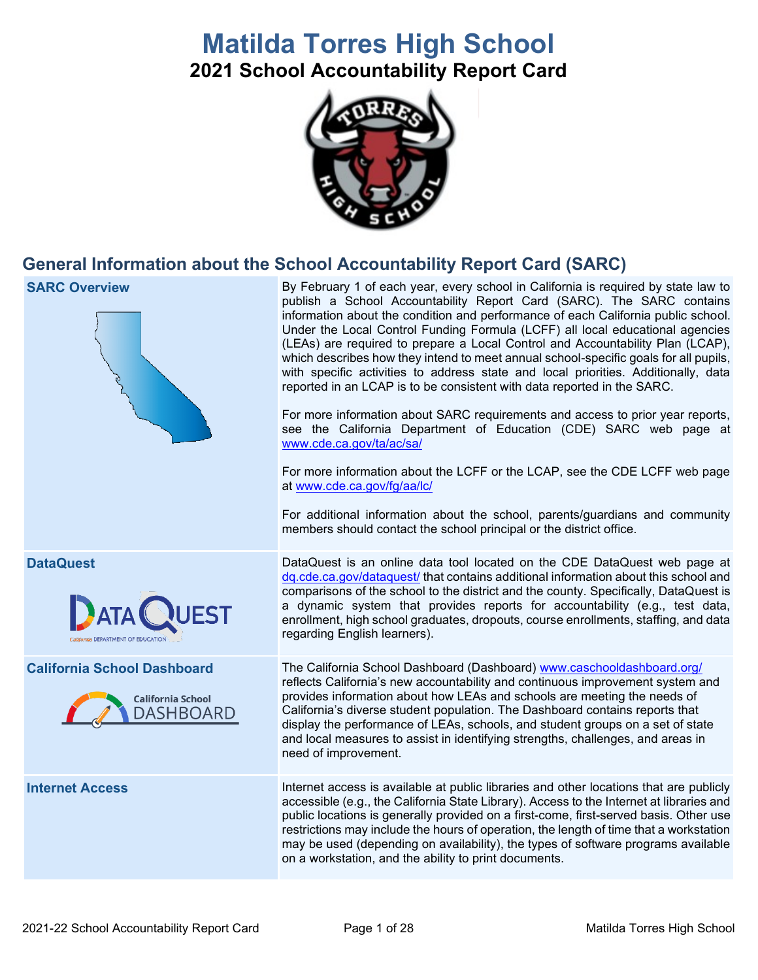# **Matilda Torres High School**

**2021 School Accountability Report Card**



## **General Information about the School Accountability Report Card (SARC)**

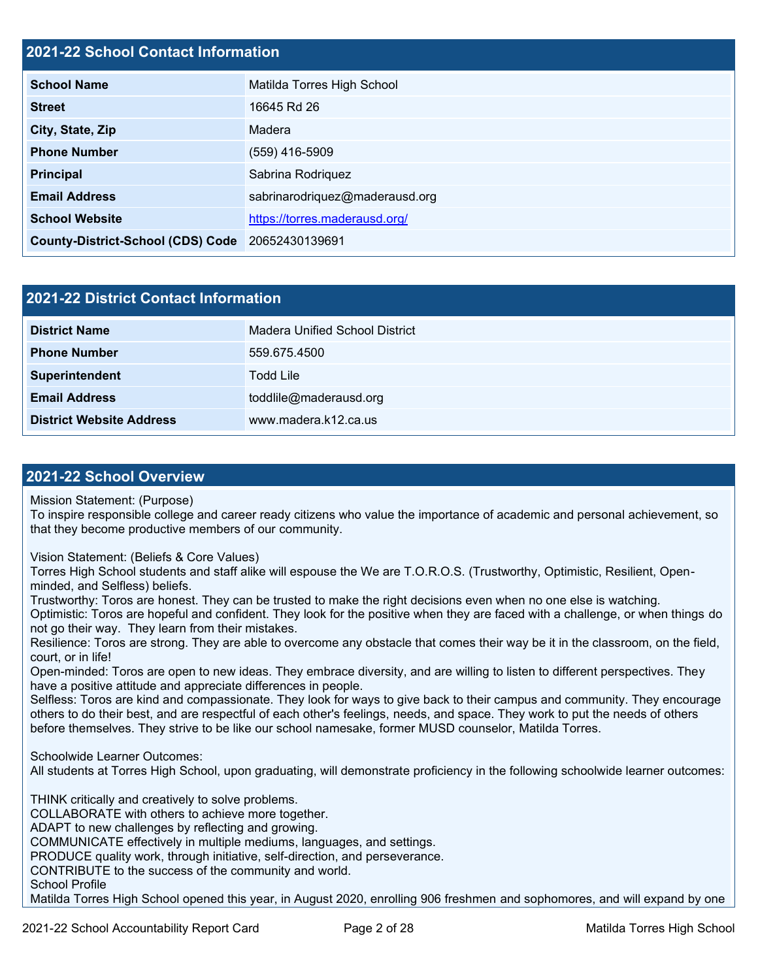#### **2021-22 School Contact Information**

| <b>School Name</b>                       | Matilda Torres High School     |  |
|------------------------------------------|--------------------------------|--|
| <b>Street</b>                            | 16645 Rd 26                    |  |
| City, State, Zip                         | Madera                         |  |
| <b>Phone Number</b>                      | (559) 416-5909                 |  |
| <b>Principal</b>                         | Sabrina Rodriquez              |  |
| <b>Email Address</b>                     | sabrinarodriquez@maderausd.org |  |
| <b>School Website</b>                    | https://torres.maderausd.org/  |  |
| <b>County-District-School (CDS) Code</b> | 20652430139691                 |  |

| 2021-22 District Contact Information |                                |  |
|--------------------------------------|--------------------------------|--|
| <b>District Name</b>                 | Madera Unified School District |  |
| <b>Phone Number</b>                  | 559.675.4500                   |  |
| Superintendent                       | Todd Lile                      |  |
| <b>Email Address</b>                 | toddlile@maderausd.org         |  |
| <b>District Website Address</b>      | www.madera.k12.ca.us           |  |

#### **2021-22 School Overview**

Mission Statement: (Purpose)

To inspire responsible college and career ready citizens who value the importance of academic and personal achievement, so that they become productive members of our community.

Vision Statement: (Beliefs & Core Values)

Torres High School students and staff alike will espouse the We are T.O.R.O.S. (Trustworthy, Optimistic, Resilient, Openminded, and Selfless) beliefs.

Trustworthy: Toros are honest. They can be trusted to make the right decisions even when no one else is watching. Optimistic: Toros are hopeful and confident. They look for the positive when they are faced with a challenge, or when things do not go their way. They learn from their mistakes.

Resilience: Toros are strong. They are able to overcome any obstacle that comes their way be it in the classroom, on the field, court, or in life!

Open-minded: Toros are open to new ideas. They embrace diversity, and are willing to listen to different perspectives. They have a positive attitude and appreciate differences in people.

Selfless: Toros are kind and compassionate. They look for ways to give back to their campus and community. They encourage others to do their best, and are respectful of each other's feelings, needs, and space. They work to put the needs of others before themselves. They strive to be like our school namesake, former MUSD counselor, Matilda Torres.

Schoolwide Learner Outcomes:

All students at Torres High School, upon graduating, will demonstrate proficiency in the following schoolwide learner outcomes:

THINK critically and creatively to solve problems. COLLABORATE with others to achieve more together. ADAPT to new challenges by reflecting and growing. COMMUNICATE effectively in multiple mediums, languages, and settings. PRODUCE quality work, through initiative, self-direction, and perseverance. CONTRIBUTE to the success of the community and world. School Profile

Matilda Torres High School opened this year, in August 2020, enrolling 906 freshmen and sophomores, and will expand by one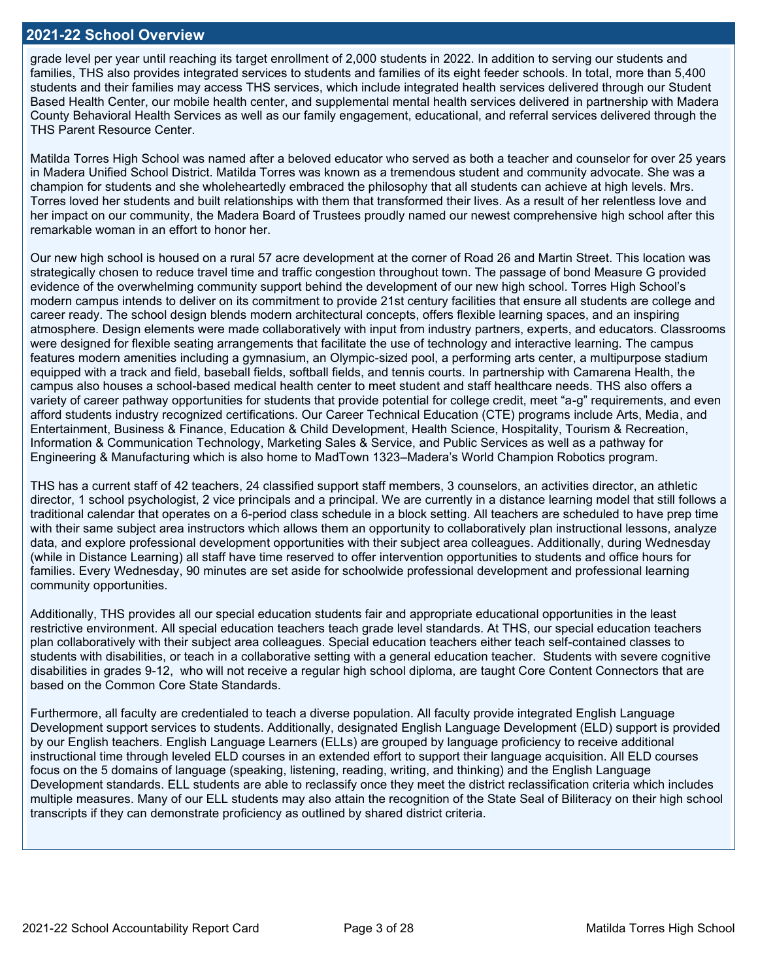#### **2021-22 School Overview**

grade level per year until reaching its target enrollment of 2,000 students in 2022. In addition to serving our students and families, THS also provides integrated services to students and families of its eight feeder schools. In total, more than 5,400 students and their families may access THS services, which include integrated health services delivered through our Student Based Health Center, our mobile health center, and supplemental mental health services delivered in partnership with Madera County Behavioral Health Services as well as our family engagement, educational, and referral services delivered through the THS Parent Resource Center.

Matilda Torres High School was named after a beloved educator who served as both a teacher and counselor for over 25 years in Madera Unified School District. Matilda Torres was known as a tremendous student and community advocate. She was a champion for students and she wholeheartedly embraced the philosophy that all students can achieve at high levels. Mrs. Torres loved her students and built relationships with them that transformed their lives. As a result of her relentless love and her impact on our community, the Madera Board of Trustees proudly named our newest comprehensive high school after this remarkable woman in an effort to honor her.

Our new high school is housed on a rural 57 acre development at the corner of Road 26 and Martin Street. This location was strategically chosen to reduce travel time and traffic congestion throughout town. The passage of bond Measure G provided evidence of the overwhelming community support behind the development of our new high school. Torres High School's modern campus intends to deliver on its commitment to provide 21st century facilities that ensure all students are college and career ready. The school design blends modern architectural concepts, offers flexible learning spaces, and an inspiring atmosphere. Design elements were made collaboratively with input from industry partners, experts, and educators. Classrooms were designed for flexible seating arrangements that facilitate the use of technology and interactive learning. The campus features modern amenities including a gymnasium, an Olympic-sized pool, a performing arts center, a multipurpose stadium equipped with a track and field, baseball fields, softball fields, and tennis courts. In partnership with Camarena Health, the campus also houses a school-based medical health center to meet student and staff healthcare needs. THS also offers a variety of career pathway opportunities for students that provide potential for college credit, meet "a-g" requirements, and even afford students industry recognized certifications. Our Career Technical Education (CTE) programs include Arts, Media, and Entertainment, Business & Finance, Education & Child Development, Health Science, Hospitality, Tourism & Recreation, Information & Communication Technology, Marketing Sales & Service, and Public Services as well as a pathway for Engineering & Manufacturing which is also home to MadTown 1323–Madera's World Champion Robotics program.

THS has a current staff of 42 teachers, 24 classified support staff members, 3 counselors, an activities director, an athletic director, 1 school psychologist, 2 vice principals and a principal. We are currently in a distance learning model that still follows a traditional calendar that operates on a 6-period class schedule in a block setting. All teachers are scheduled to have prep time with their same subject area instructors which allows them an opportunity to collaboratively plan instructional lessons, analyze data, and explore professional development opportunities with their subject area colleagues. Additionally, during Wednesday (while in Distance Learning) all staff have time reserved to offer intervention opportunities to students and office hours for families. Every Wednesday, 90 minutes are set aside for schoolwide professional development and professional learning community opportunities.

Additionally, THS provides all our special education students fair and appropriate educational opportunities in the least restrictive environment. All special education teachers teach grade level standards. At THS, our special education teachers plan collaboratively with their subject area colleagues. Special education teachers either teach self-contained classes to students with disabilities, or teach in a collaborative setting with a general education teacher. Students with severe cognitive disabilities in grades 9-12, who will not receive a regular high school diploma, are taught Core Content Connectors that are based on the Common Core State Standards.

Furthermore, all faculty are credentialed to teach a diverse population. All faculty provide integrated English Language Development support services to students. Additionally, designated English Language Development (ELD) support is provided by our English teachers. English Language Learners (ELLs) are grouped by language proficiency to receive additional instructional time through leveled ELD courses in an extended effort to support their language acquisition. All ELD courses focus on the 5 domains of language (speaking, listening, reading, writing, and thinking) and the English Language Development standards. ELL students are able to reclassify once they meet the district reclassification criteria which includes multiple measures. Many of our ELL students may also attain the recognition of the State Seal of Biliteracy on their high school transcripts if they can demonstrate proficiency as outlined by shared district criteria.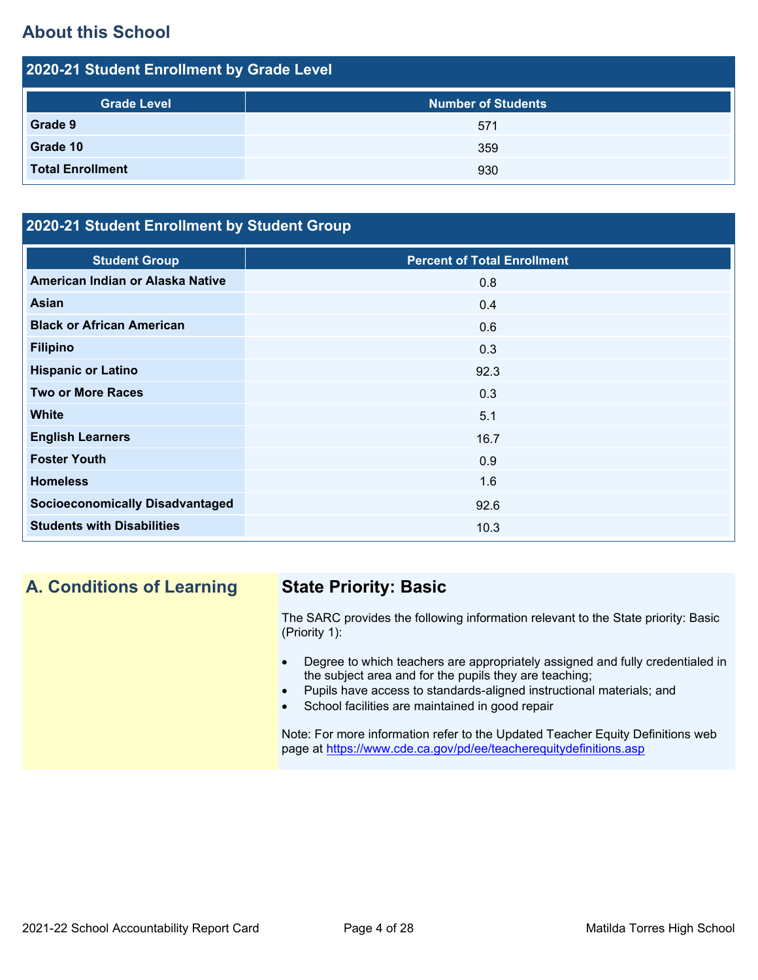## **About this School**

| 2020-21 Student Enrollment by Grade Level |                           |  |  |
|-------------------------------------------|---------------------------|--|--|
| <b>Grade Level</b>                        | <b>Number of Students</b> |  |  |
| Grade 9                                   | 571                       |  |  |
| Grade 10                                  | 359                       |  |  |
| <b>Total Enrollment</b>                   | 930                       |  |  |

### **2020-21 Student Enrollment by Student Group**

| <b>Student Group</b>                   | <b>Percent of Total Enrollment</b> |
|----------------------------------------|------------------------------------|
| American Indian or Alaska Native       | 0.8                                |
| Asian                                  | 0.4                                |
| <b>Black or African American</b>       | 0.6                                |
| <b>Filipino</b>                        | 0.3                                |
| <b>Hispanic or Latino</b>              | 92.3                               |
| <b>Two or More Races</b>               | 0.3                                |
| <b>White</b>                           | 5.1                                |
| <b>English Learners</b>                | 16.7                               |
| <b>Foster Youth</b>                    | 0.9                                |
| <b>Homeless</b>                        | 1.6                                |
| <b>Socioeconomically Disadvantaged</b> | 92.6                               |
| <b>Students with Disabilities</b>      | 10.3                               |

## **A. Conditions of Learning State Priority: Basic**

The SARC provides the following information relevant to the State priority: Basic (Priority 1):

- Degree to which teachers are appropriately assigned and fully credentialed in the subject area and for the pupils they are teaching;
- Pupils have access to standards-aligned instructional materials; and
- School facilities are maintained in good repair

Note: For more information refer to the Updated Teacher Equity Definitions web page at<https://www.cde.ca.gov/pd/ee/teacherequitydefinitions.asp>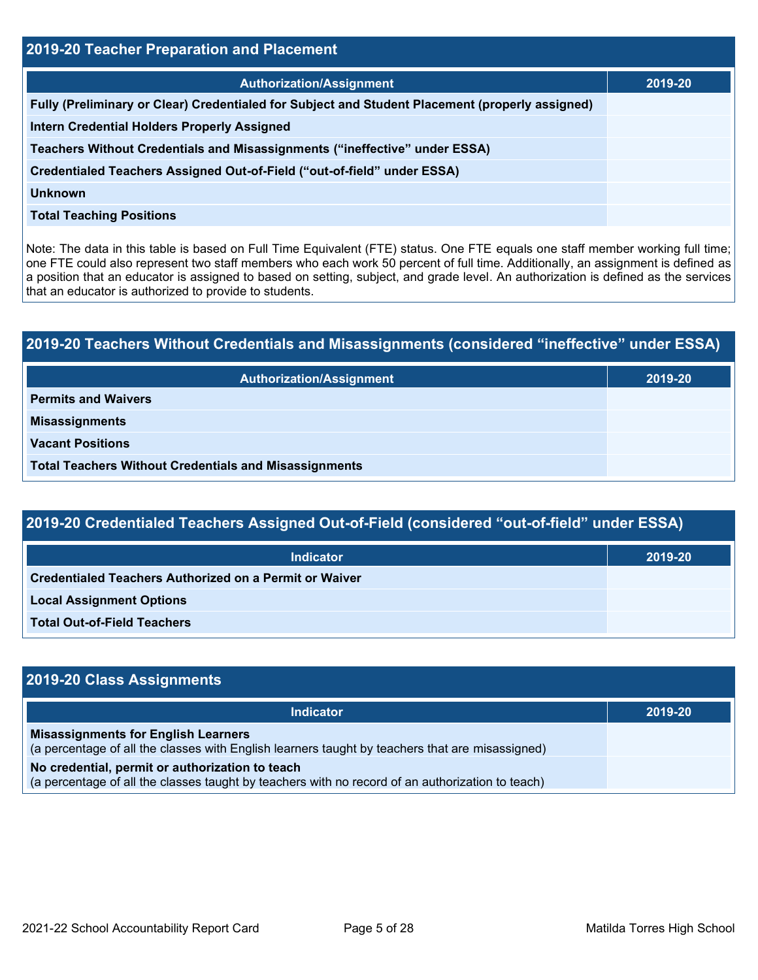| <b>2019-20 Teacher Preparation and Placement</b>                                                |         |  |  |
|-------------------------------------------------------------------------------------------------|---------|--|--|
| <b>Authorization/Assignment</b>                                                                 | 2019-20 |  |  |
| Fully (Preliminary or Clear) Credentialed for Subject and Student Placement (properly assigned) |         |  |  |
| <b>Intern Credential Holders Properly Assigned</b>                                              |         |  |  |
| Teachers Without Credentials and Misassignments ("ineffective" under ESSA)                      |         |  |  |
| Credentialed Teachers Assigned Out-of-Field ("out-of-field" under ESSA)                         |         |  |  |
| <b>Unknown</b>                                                                                  |         |  |  |
| <b>Total Teaching Positions</b>                                                                 |         |  |  |

Note: The data in this table is based on Full Time Equivalent (FTE) status. One FTE equals one staff member working full time; one FTE could also represent two staff members who each work 50 percent of full time. Additionally, an assignment is defined as a position that an educator is assigned to based on setting, subject, and grade level. An authorization is defined as the services that an educator is authorized to provide to students.

| 2019-20 Teachers Without Credentials and Misassignments (considered "ineffective" under ESSA) |         |  |
|-----------------------------------------------------------------------------------------------|---------|--|
| <b>Authorization/Assignment</b>                                                               | 2019-20 |  |
| <b>Permits and Waivers</b>                                                                    |         |  |
| <b>Misassignments</b>                                                                         |         |  |
| <b>Vacant Positions</b>                                                                       |         |  |
| <b>Total Teachers Without Credentials and Misassignments</b>                                  |         |  |

| <b>Indicator</b>                                              | 2019-20 |
|---------------------------------------------------------------|---------|
| <b>Credentialed Teachers Authorized on a Permit or Waiver</b> |         |
| <b>Local Assignment Options</b>                               |         |
| <b>Total Out-of-Field Teachers</b>                            |         |

| 2019-20 Class Assignments                                                                                                                           |         |
|-----------------------------------------------------------------------------------------------------------------------------------------------------|---------|
| <b>Indicator</b>                                                                                                                                    | 2019-20 |
| <b>Misassignments for English Learners</b><br>(a percentage of all the classes with English learners taught by teachers that are misassigned)       |         |
| No credential, permit or authorization to teach<br>(a percentage of all the classes taught by teachers with no record of an authorization to teach) |         |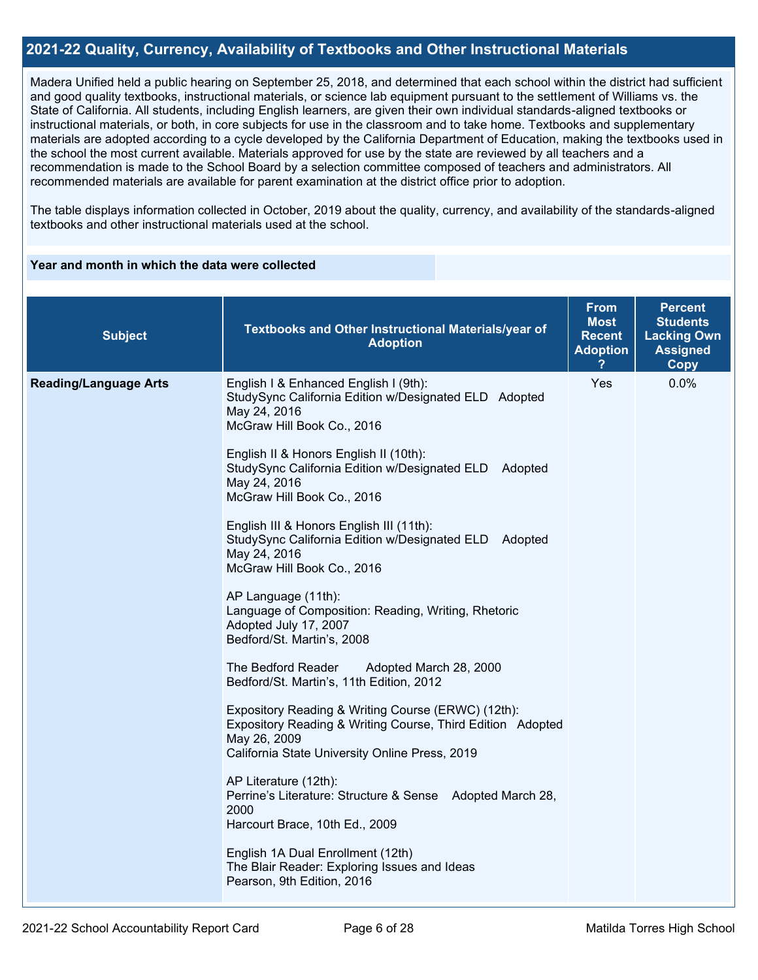#### **2021-22 Quality, Currency, Availability of Textbooks and Other Instructional Materials**

Madera Unified held a public hearing on September 25, 2018, and determined that each school within the district had sufficient and good quality textbooks, instructional materials, or science lab equipment pursuant to the settlement of Williams vs. the State of California. All students, including English learners, are given their own individual standards-aligned textbooks or instructional materials, or both, in core subjects for use in the classroom and to take home. Textbooks and supplementary materials are adopted according to a cycle developed by the California Department of Education, making the textbooks used in the school the most current available. Materials approved for use by the state are reviewed by all teachers and a recommendation is made to the School Board by a selection committee composed of teachers and administrators. All recommended materials are available for parent examination at the district office prior to adoption.

The table displays information collected in October, 2019 about the quality, currency, and availability of the standards-aligned textbooks and other instructional materials used at the school.

#### **Year and month in which the data were collected**

| <b>Subject</b>               | Textbooks and Other Instructional Materials/year of<br><b>Adoption</b>                                                                                                                                                                                                                                                                                                                                                                                                                                                                                                                                                                                                                                                                                                                                                                                                                                                                                                                                                                                                                                                     | <b>From</b><br><b>Most</b><br><b>Recent</b><br><b>Adoption</b> | <b>Percent</b><br><b>Students</b><br><b>Lacking Own</b><br><b>Assigned</b><br>Copy |
|------------------------------|----------------------------------------------------------------------------------------------------------------------------------------------------------------------------------------------------------------------------------------------------------------------------------------------------------------------------------------------------------------------------------------------------------------------------------------------------------------------------------------------------------------------------------------------------------------------------------------------------------------------------------------------------------------------------------------------------------------------------------------------------------------------------------------------------------------------------------------------------------------------------------------------------------------------------------------------------------------------------------------------------------------------------------------------------------------------------------------------------------------------------|----------------------------------------------------------------|------------------------------------------------------------------------------------|
| <b>Reading/Language Arts</b> | English I & Enhanced English I (9th):<br>StudySync California Edition w/Designated ELD Adopted<br>May 24, 2016<br>McGraw Hill Book Co., 2016<br>English II & Honors English II (10th):<br>StudySync California Edition w/Designated ELD Adopted<br>May 24, 2016<br>McGraw Hill Book Co., 2016<br>English III & Honors English III (11th):<br>StudySync California Edition w/Designated ELD Adopted<br>May 24, 2016<br>McGraw Hill Book Co., 2016<br>AP Language (11th):<br>Language of Composition: Reading, Writing, Rhetoric<br>Adopted July 17, 2007<br>Bedford/St. Martin's, 2008<br>The Bedford Reader<br>Adopted March 28, 2000<br>Bedford/St. Martin's, 11th Edition, 2012<br>Expository Reading & Writing Course (ERWC) (12th):<br>Expository Reading & Writing Course, Third Edition Adopted<br>May 26, 2009<br>California State University Online Press, 2019<br>AP Literature (12th):<br>Perrine's Literature: Structure & Sense Adopted March 28,<br>2000<br>Harcourt Brace, 10th Ed., 2009<br>English 1A Dual Enrollment (12th)<br>The Blair Reader: Exploring Issues and Ideas<br>Pearson, 9th Edition, 2016 | Yes                                                            | 0.0%                                                                               |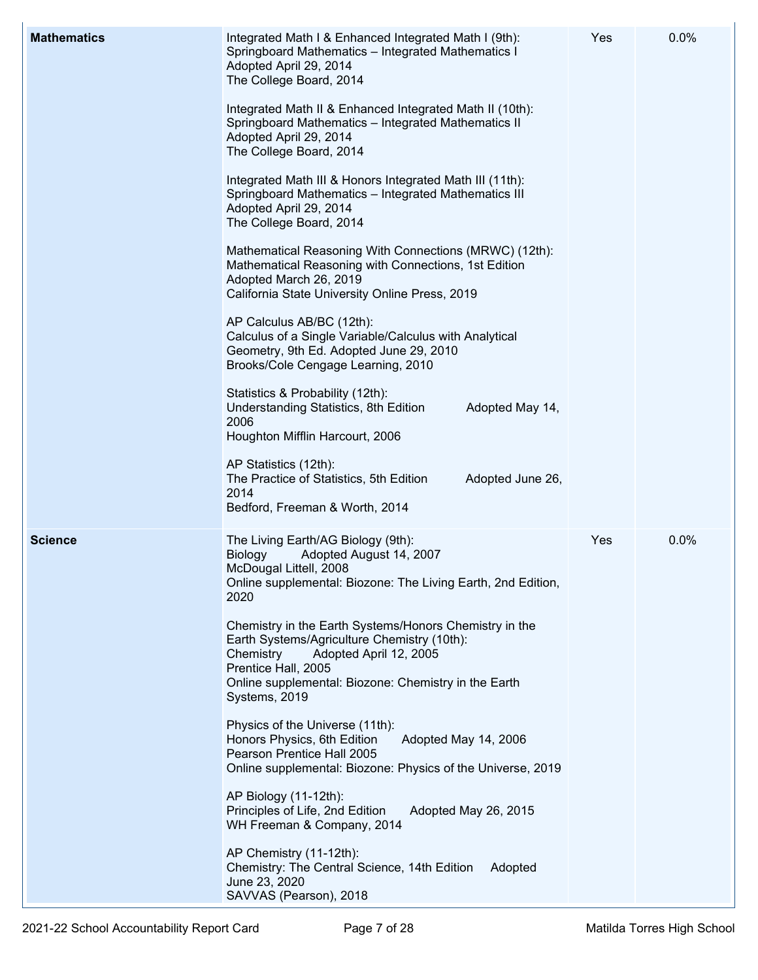| <b>Mathematics</b> | Integrated Math I & Enhanced Integrated Math I (9th):<br>Springboard Mathematics - Integrated Mathematics I<br>Adopted April 29, 2014<br>The College Board, 2014<br>Integrated Math II & Enhanced Integrated Math II (10th):<br>Springboard Mathematics - Integrated Mathematics II<br>Adopted April 29, 2014<br>The College Board, 2014<br>Integrated Math III & Honors Integrated Math III (11th):<br>Springboard Mathematics - Integrated Mathematics III<br>Adopted April 29, 2014<br>The College Board, 2014<br>Mathematical Reasoning With Connections (MRWC) (12th):<br>Mathematical Reasoning with Connections, 1st Edition<br>Adopted March 26, 2019<br>California State University Online Press, 2019<br>AP Calculus AB/BC (12th):<br>Calculus of a Single Variable/Calculus with Analytical<br>Geometry, 9th Ed. Adopted June 29, 2010<br>Brooks/Cole Cengage Learning, 2010<br>Statistics & Probability (12th):<br>Understanding Statistics, 8th Edition<br>Adopted May 14,<br>2006<br>Houghton Mifflin Harcourt, 2006<br>AP Statistics (12th):<br>The Practice of Statistics, 5th Edition<br>Adopted June 26,<br>2014 | Yes | 0.0% |
|--------------------|------------------------------------------------------------------------------------------------------------------------------------------------------------------------------------------------------------------------------------------------------------------------------------------------------------------------------------------------------------------------------------------------------------------------------------------------------------------------------------------------------------------------------------------------------------------------------------------------------------------------------------------------------------------------------------------------------------------------------------------------------------------------------------------------------------------------------------------------------------------------------------------------------------------------------------------------------------------------------------------------------------------------------------------------------------------------------------------------------------------------------------|-----|------|
| <b>Science</b>     | Bedford, Freeman & Worth, 2014<br>The Living Earth/AG Biology (9th):<br>Adopted August 14, 2007<br>Biology<br>McDougal Littell, 2008<br>Online supplemental: Biozone: The Living Earth, 2nd Edition,<br>2020<br>Chemistry in the Earth Systems/Honors Chemistry in the<br>Earth Systems/Agriculture Chemistry (10th):<br>Chemistry<br>Adopted April 12, 2005<br>Prentice Hall, 2005<br>Online supplemental: Biozone: Chemistry in the Earth<br>Systems, 2019<br>Physics of the Universe (11th):<br>Honors Physics, 6th Edition<br>Adopted May 14, 2006<br>Pearson Prentice Hall 2005<br>Online supplemental: Biozone: Physics of the Universe, 2019<br>AP Biology (11-12th):<br>Principles of Life, 2nd Edition<br>Adopted May 26, 2015<br>WH Freeman & Company, 2014<br>AP Chemistry (11-12th):<br>Chemistry: The Central Science, 14th Edition<br>Adopted<br>June 23, 2020<br>SAVVAS (Pearson), 2018                                                                                                                                                                                                                             | Yes | 0.0% |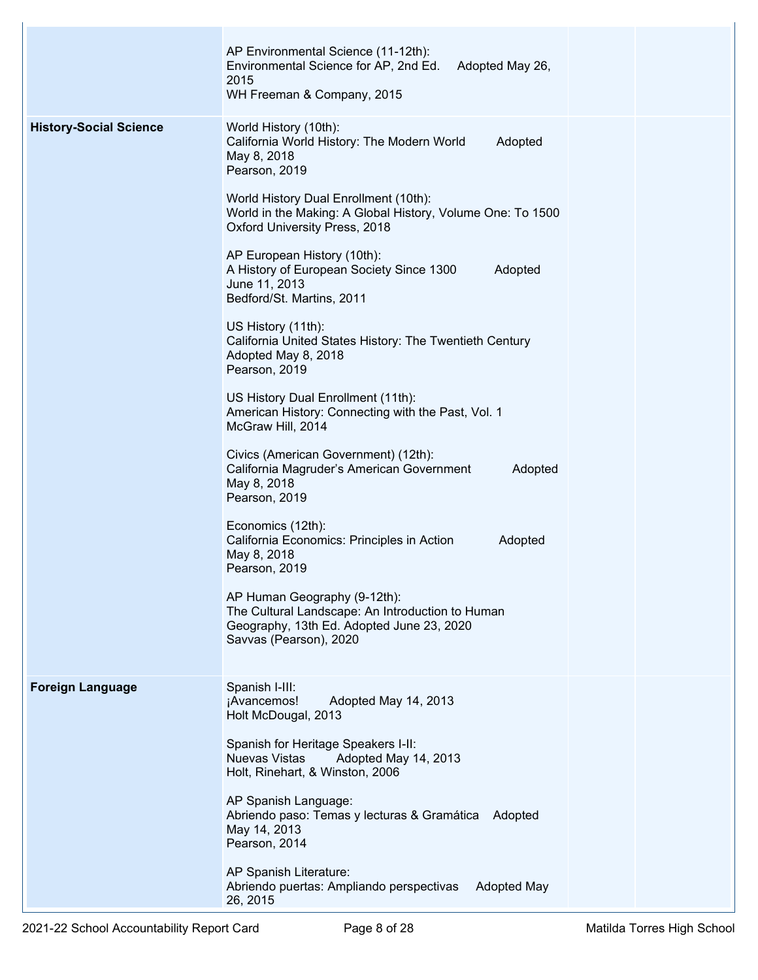|                               | AP Environmental Science (11-12th):<br>Environmental Science for AP, 2nd Ed.<br>Adopted May 26,<br>2015<br>WH Freeman & Company, 2015                   |  |
|-------------------------------|---------------------------------------------------------------------------------------------------------------------------------------------------------|--|
| <b>History-Social Science</b> | World History (10th):<br>California World History: The Modern World<br>Adopted<br>May 8, 2018<br>Pearson, 2019                                          |  |
|                               | World History Dual Enrollment (10th):<br>World in the Making: A Global History, Volume One: To 1500<br>Oxford University Press, 2018                    |  |
|                               | AP European History (10th):<br>A History of European Society Since 1300<br>Adopted<br>June 11, 2013<br>Bedford/St. Martins, 2011                        |  |
|                               | US History (11th):<br>California United States History: The Twentieth Century<br>Adopted May 8, 2018<br>Pearson, 2019                                   |  |
|                               | US History Dual Enrollment (11th):<br>American History: Connecting with the Past, Vol. 1<br>McGraw Hill, 2014                                           |  |
|                               | Civics (American Government) (12th):<br>Adopted<br>California Magruder's American Government<br>May 8, 2018<br>Pearson, 2019                            |  |
|                               | Economics (12th):<br>California Economics: Principles in Action<br>Adopted<br>May 8, 2018<br>Pearson, 2019                                              |  |
|                               | AP Human Geography (9-12th):<br>The Cultural Landscape: An Introduction to Human<br>Geography, 13th Ed. Adopted June 23, 2020<br>Savvas (Pearson), 2020 |  |
| <b>Foreign Language</b>       | Spanish I-III:<br>¡Avancemos!<br>Adopted May 14, 2013<br>Holt McDougal, 2013                                                                            |  |
|                               | Spanish for Heritage Speakers I-II:<br><b>Nuevas Vistas</b><br>Adopted May 14, 2013<br>Holt, Rinehart, & Winston, 2006                                  |  |
|                               | AP Spanish Language:<br>Abriendo paso: Temas y lecturas & Gramática<br>Adopted<br>May 14, 2013<br>Pearson, 2014                                         |  |
|                               | AP Spanish Literature:<br>Abriendo puertas: Ampliando perspectivas<br><b>Adopted May</b><br>26, 2015                                                    |  |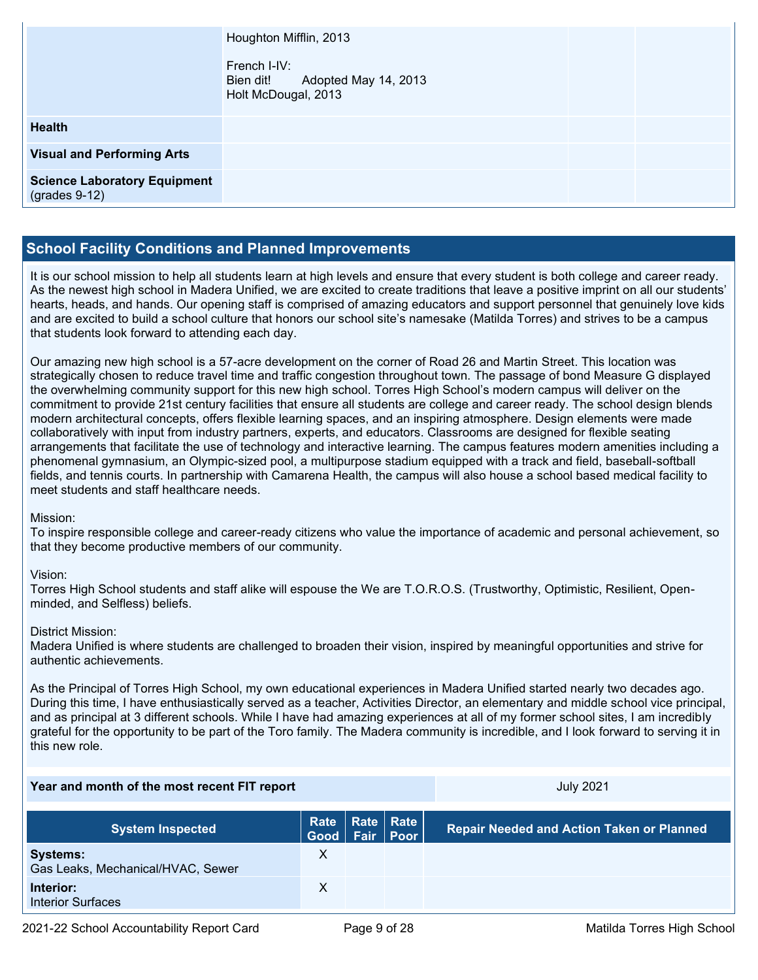|                                                        | Houghton Mifflin, 2013<br>French I-IV:<br>Bien dit! Adopted May 14, 2013<br>Holt McDougal, 2013 |  |
|--------------------------------------------------------|-------------------------------------------------------------------------------------------------|--|
| <b>Health</b>                                          |                                                                                                 |  |
| <b>Visual and Performing Arts</b>                      |                                                                                                 |  |
| <b>Science Laboratory Equipment</b><br>$(grades 9-12)$ |                                                                                                 |  |

#### **School Facility Conditions and Planned Improvements**

It is our school mission to help all students learn at high levels and ensure that every student is both college and career ready. As the newest high school in Madera Unified, we are excited to create traditions that leave a positive imprint on all our students' hearts, heads, and hands. Our opening staff is comprised of amazing educators and support personnel that genuinely love kids and are excited to build a school culture that honors our school site's namesake (Matilda Torres) and strives to be a campus that students look forward to attending each day.

Our amazing new high school is a 57-acre development on the corner of Road 26 and Martin Street. This location was strategically chosen to reduce travel time and traffic congestion throughout town. The passage of bond Measure G displayed the overwhelming community support for this new high school. Torres High School's modern campus will deliver on the commitment to provide 21st century facilities that ensure all students are college and career ready. The school design blends modern architectural concepts, offers flexible learning spaces, and an inspiring atmosphere. Design elements were made collaboratively with input from industry partners, experts, and educators. Classrooms are designed for flexible seating arrangements that facilitate the use of technology and interactive learning. The campus features modern amenities including a phenomenal gymnasium, an Olympic-sized pool, a multipurpose stadium equipped with a track and field, baseball-softball fields, and tennis courts. In partnership with Camarena Health, the campus will also house a school based medical facility to meet students and staff healthcare needs.

#### Mission:

To inspire responsible college and career-ready citizens who value the importance of academic and personal achievement, so that they become productive members of our community.

#### Vision:

Torres High School students and staff alike will espouse the We are T.O.R.O.S. (Trustworthy, Optimistic, Resilient, Openminded, and Selfless) beliefs.

#### District Mission:

Madera Unified is where students are challenged to broaden their vision, inspired by meaningful opportunities and strive for authentic achievements.

As the Principal of Torres High School, my own educational experiences in Madera Unified started nearly two decades ago. During this time, I have enthusiastically served as a teacher, Activities Director, an elementary and middle school vice principal, and as principal at 3 different schools. While I have had amazing experiences at all of my former school sites, I am incredibly grateful for the opportunity to be part of the Toro family. The Madera community is incredible, and I look forward to serving it in this new role.

#### **Year and month of the most recent FIT report** Allowski and Allowski and July 2021

| <b>System Inspected</b>                              | Rate   Rate   Rate  <br>Good   Fair   Poor |  | <b>Repair Needed and Action Taken or Planned</b> |
|------------------------------------------------------|--------------------------------------------|--|--------------------------------------------------|
| <b>Systems:</b><br>Gas Leaks, Mechanical/HVAC, Sewer |                                            |  |                                                  |
| Interior:<br>Interior Surfaces                       |                                            |  |                                                  |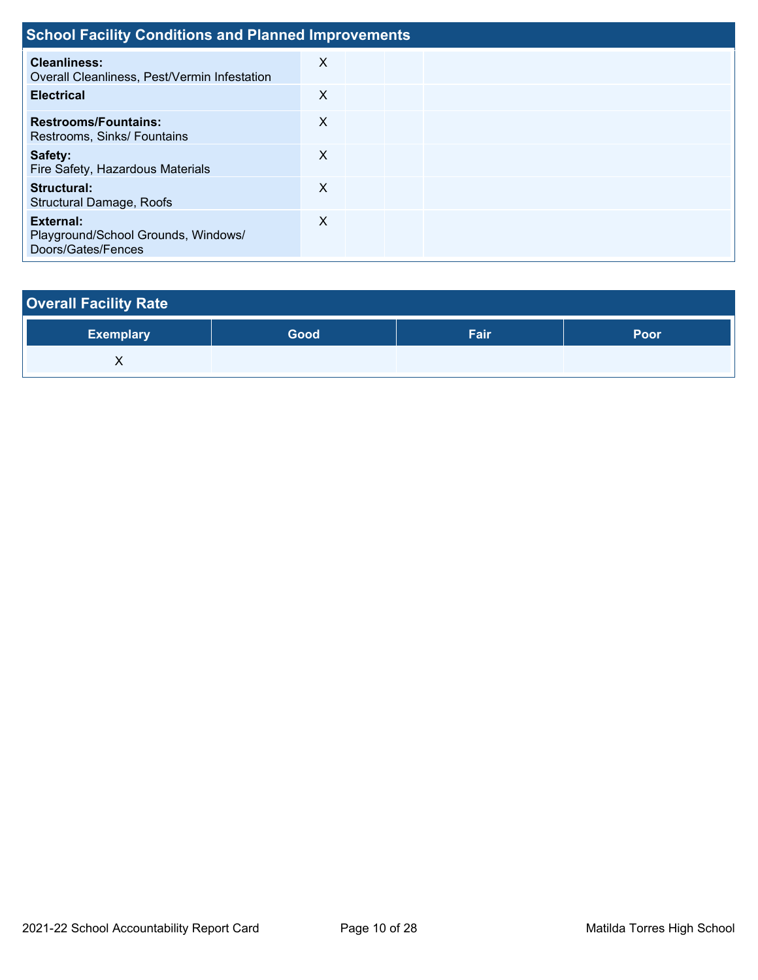| <b>School Facility Conditions and Planned Improvements</b>                    |   |  |  |  |  |  |  |  |  |  |
|-------------------------------------------------------------------------------|---|--|--|--|--|--|--|--|--|--|
| Cleanliness:<br>Overall Cleanliness, Pest/Vermin Infestation                  | X |  |  |  |  |  |  |  |  |  |
| <b>Electrical</b>                                                             | X |  |  |  |  |  |  |  |  |  |
| <b>Restrooms/Fountains:</b><br>Restrooms, Sinks/ Fountains                    | X |  |  |  |  |  |  |  |  |  |
| Safety:<br>Fire Safety, Hazardous Materials                                   | X |  |  |  |  |  |  |  |  |  |
| Structural:<br>Structural Damage, Roofs                                       | X |  |  |  |  |  |  |  |  |  |
| <b>External:</b><br>Playground/School Grounds, Windows/<br>Doors/Gates/Fences | X |  |  |  |  |  |  |  |  |  |

# **Overall Facility Rate Exemplary Good Fair Poor** X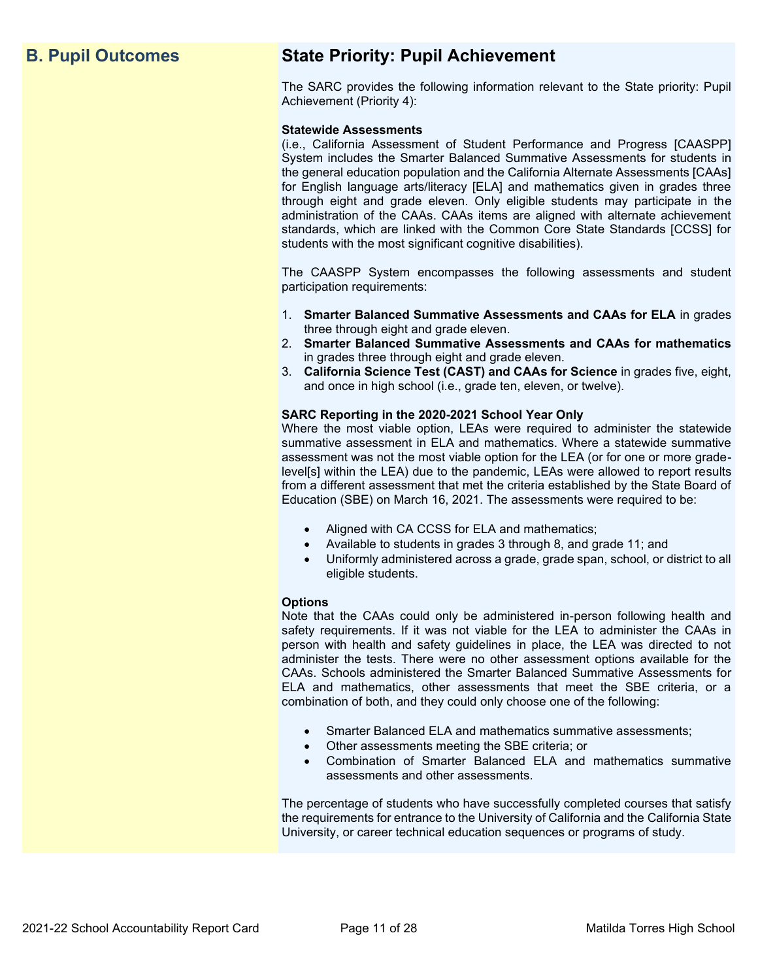## **B. Pupil Outcomes State Priority: Pupil Achievement**

The SARC provides the following information relevant to the State priority: Pupil Achievement (Priority 4):

#### **Statewide Assessments**

(i.e., California Assessment of Student Performance and Progress [CAASPP] System includes the Smarter Balanced Summative Assessments for students in the general education population and the California Alternate Assessments [CAAs] for English language arts/literacy [ELA] and mathematics given in grades three through eight and grade eleven. Only eligible students may participate in the administration of the CAAs. CAAs items are aligned with alternate achievement standards, which are linked with the Common Core State Standards [CCSS] for students with the most significant cognitive disabilities).

The CAASPP System encompasses the following assessments and student participation requirements:

- 1. **Smarter Balanced Summative Assessments and CAAs for ELA** in grades three through eight and grade eleven.
- 2. **Smarter Balanced Summative Assessments and CAAs for mathematics** in grades three through eight and grade eleven.
- 3. **California Science Test (CAST) and CAAs for Science** in grades five, eight, and once in high school (i.e., grade ten, eleven, or twelve).

#### **SARC Reporting in the 2020-2021 School Year Only**

Where the most viable option, LEAs were required to administer the statewide summative assessment in ELA and mathematics. Where a statewide summative assessment was not the most viable option for the LEA (or for one or more gradelevel[s] within the LEA) due to the pandemic, LEAs were allowed to report results from a different assessment that met the criteria established by the State Board of Education (SBE) on March 16, 2021. The assessments were required to be:

- Aligned with CA CCSS for ELA and mathematics;
- Available to students in grades 3 through 8, and grade 11; and
- Uniformly administered across a grade, grade span, school, or district to all eligible students.

#### **Options**

Note that the CAAs could only be administered in-person following health and safety requirements. If it was not viable for the LEA to administer the CAAs in person with health and safety guidelines in place, the LEA was directed to not administer the tests. There were no other assessment options available for the CAAs. Schools administered the Smarter Balanced Summative Assessments for ELA and mathematics, other assessments that meet the SBE criteria, or a combination of both, and they could only choose one of the following:

- Smarter Balanced ELA and mathematics summative assessments;
- Other assessments meeting the SBE criteria; or
- Combination of Smarter Balanced ELA and mathematics summative assessments and other assessments.

The percentage of students who have successfully completed courses that satisfy the requirements for entrance to the University of California and the California State University, or career technical education sequences or programs of study.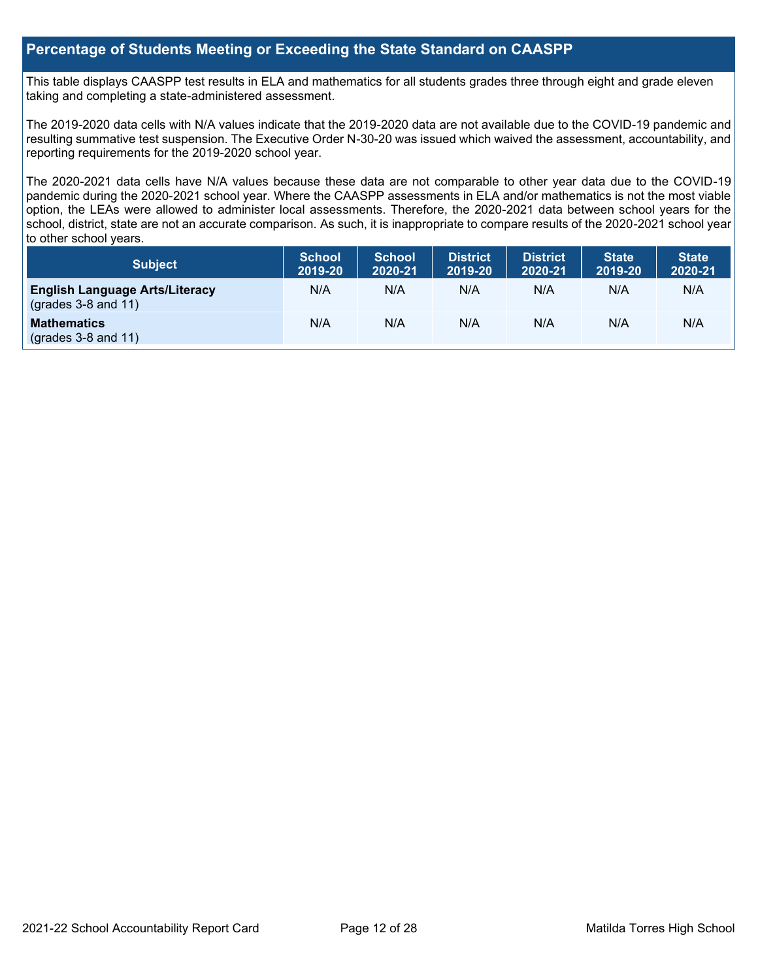#### **Percentage of Students Meeting or Exceeding the State Standard on CAASPP**

This table displays CAASPP test results in ELA and mathematics for all students grades three through eight and grade eleven taking and completing a state-administered assessment.

The 2019-2020 data cells with N/A values indicate that the 2019-2020 data are not available due to the COVID-19 pandemic and resulting summative test suspension. The Executive Order N-30-20 was issued which waived the assessment, accountability, and reporting requirements for the 2019-2020 school year.

The 2020-2021 data cells have N/A values because these data are not comparable to other year data due to the COVID-19 pandemic during the 2020-2021 school year. Where the CAASPP assessments in ELA and/or mathematics is not the most viable option, the LEAs were allowed to administer local assessments. Therefore, the 2020-2021 data between school years for the school, district, state are not an accurate comparison. As such, it is inappropriate to compare results of the 2020-2021 school year to other school years.

| <b>Subject</b>                                                 | <b>School</b><br>2019-20 | <b>School</b><br>2020-21 | District<br>2019-20 | <b>District</b><br>2020-21 | <b>State</b><br>2019-20 | <b>State</b><br>2020-21 |
|----------------------------------------------------------------|--------------------------|--------------------------|---------------------|----------------------------|-------------------------|-------------------------|
| <b>English Language Arts/Literacy</b><br>$(grades 3-8 and 11)$ | N/A                      | N/A                      | N/A                 | N/A                        | N/A                     | N/A                     |
| <b>Mathematics</b><br>$(grades 3-8 and 11)$                    | N/A                      | N/A                      | N/A                 | N/A                        | N/A                     | N/A                     |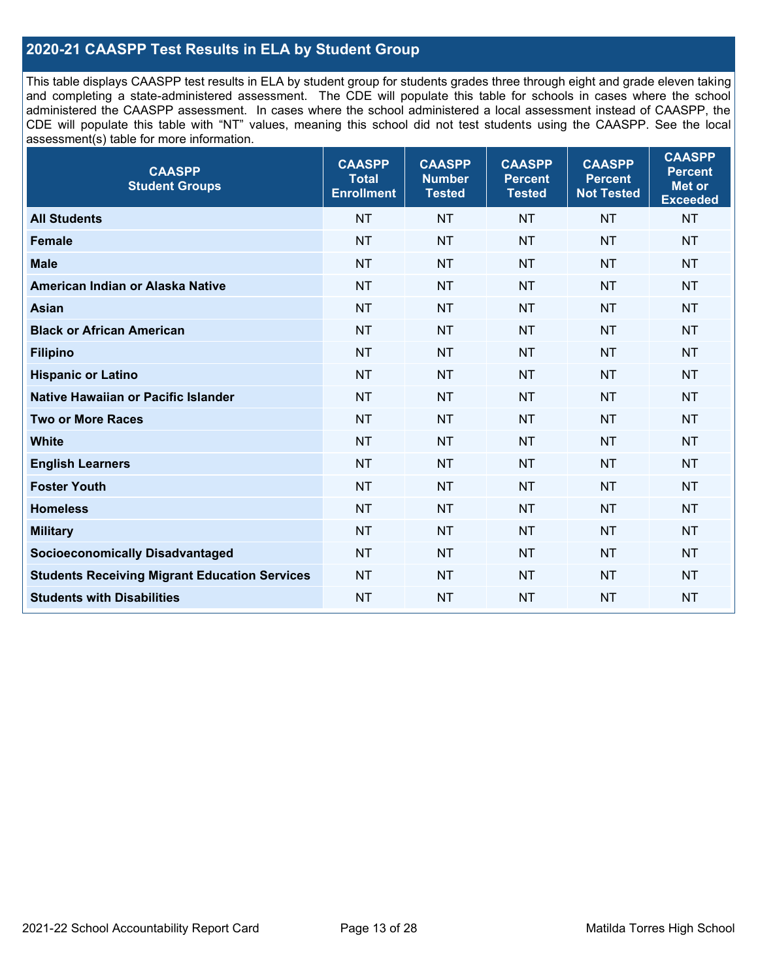### **2020-21 CAASPP Test Results in ELA by Student Group**

This table displays CAASPP test results in ELA by student group for students grades three through eight and grade eleven taking and completing a state-administered assessment. The CDE will populate this table for schools in cases where the school administered the CAASPP assessment. In cases where the school administered a local assessment instead of CAASPP, the CDE will populate this table with "NT" values, meaning this school did not test students using the CAASPP. See the local assessment(s) table for more information.

| <b>CAASPP</b><br><b>Total</b><br><b>Enrollment</b> | <b>CAASPP</b><br><b>Number</b><br><b>Tested</b> | <b>CAASPP</b><br><b>Percent</b><br><b>Tested</b> | <b>CAASPP</b><br><b>Percent</b><br><b>Not Tested</b> | <b>CAASPP</b><br><b>Percent</b><br>Met or<br><b>Exceeded</b> |
|----------------------------------------------------|-------------------------------------------------|--------------------------------------------------|------------------------------------------------------|--------------------------------------------------------------|
| <b>NT</b>                                          | <b>NT</b>                                       | <b>NT</b>                                        | <b>NT</b>                                            | <b>NT</b>                                                    |
| <b>NT</b>                                          | <b>NT</b>                                       | <b>NT</b>                                        | <b>NT</b>                                            | <b>NT</b>                                                    |
| <b>NT</b>                                          | <b>NT</b>                                       | <b>NT</b>                                        | <b>NT</b>                                            | <b>NT</b>                                                    |
| <b>NT</b>                                          | <b>NT</b>                                       | <b>NT</b>                                        | <b>NT</b>                                            | <b>NT</b>                                                    |
| <b>NT</b>                                          | <b>NT</b>                                       | <b>NT</b>                                        | <b>NT</b>                                            | <b>NT</b>                                                    |
| <b>NT</b>                                          | <b>NT</b>                                       | <b>NT</b>                                        | <b>NT</b>                                            | <b>NT</b>                                                    |
| <b>NT</b>                                          | <b>NT</b>                                       | <b>NT</b>                                        | <b>NT</b>                                            | <b>NT</b>                                                    |
| <b>NT</b>                                          | <b>NT</b>                                       | <b>NT</b>                                        | <b>NT</b>                                            | <b>NT</b>                                                    |
| <b>NT</b>                                          | <b>NT</b>                                       | <b>NT</b>                                        | <b>NT</b>                                            | <b>NT</b>                                                    |
| <b>NT</b>                                          | <b>NT</b>                                       | <b>NT</b>                                        | <b>NT</b>                                            | <b>NT</b>                                                    |
| <b>NT</b>                                          | <b>NT</b>                                       | <b>NT</b>                                        | <b>NT</b>                                            | <b>NT</b>                                                    |
| <b>NT</b>                                          | <b>NT</b>                                       | <b>NT</b>                                        | <b>NT</b>                                            | <b>NT</b>                                                    |
| <b>NT</b>                                          | <b>NT</b>                                       | <b>NT</b>                                        | <b>NT</b>                                            | <b>NT</b>                                                    |
| <b>NT</b>                                          | <b>NT</b>                                       | <b>NT</b>                                        | <b>NT</b>                                            | <b>NT</b>                                                    |
| <b>NT</b>                                          | <b>NT</b>                                       | <b>NT</b>                                        | <b>NT</b>                                            | <b>NT</b>                                                    |
| <b>NT</b>                                          | <b>NT</b>                                       | <b>NT</b>                                        | <b>NT</b>                                            | <b>NT</b>                                                    |
| <b>NT</b>                                          | <b>NT</b>                                       | <b>NT</b>                                        | <b>NT</b>                                            | <b>NT</b>                                                    |
| <b>NT</b>                                          | <b>NT</b>                                       | <b>NT</b>                                        | <b>NT</b>                                            | <b>NT</b>                                                    |
|                                                    |                                                 |                                                  |                                                      |                                                              |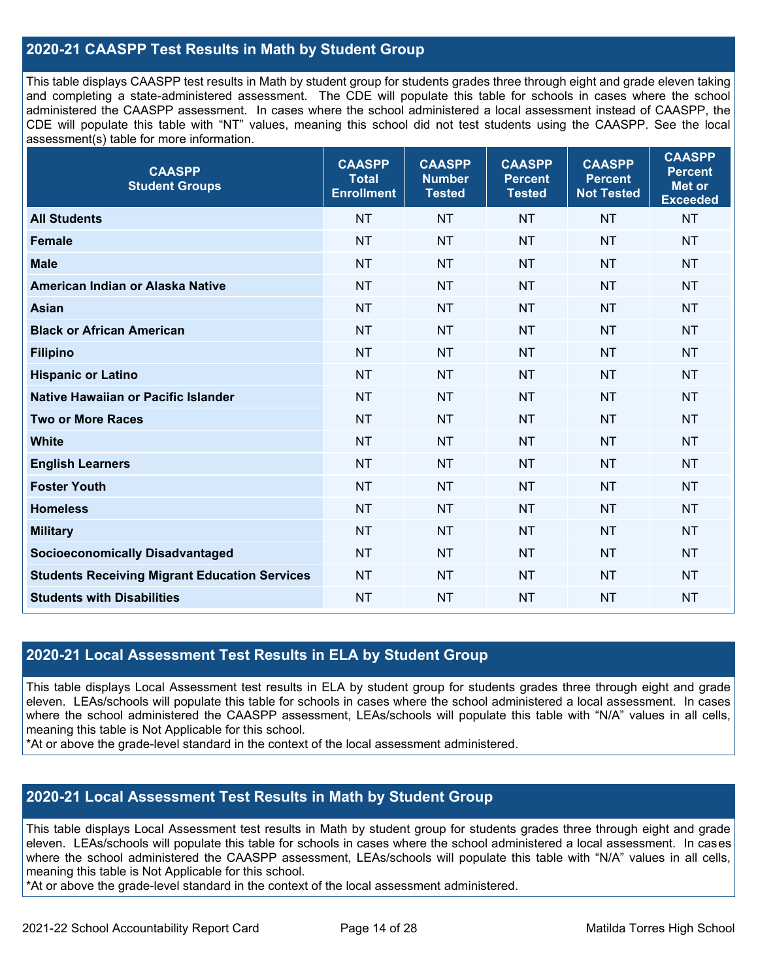#### **2020-21 CAASPP Test Results in Math by Student Group**

This table displays CAASPP test results in Math by student group for students grades three through eight and grade eleven taking and completing a state-administered assessment. The CDE will populate this table for schools in cases where the school administered the CAASPP assessment. In cases where the school administered a local assessment instead of CAASPP, the CDE will populate this table with "NT" values, meaning this school did not test students using the CAASPP. See the local assessment(s) table for more information.

| <b>CAASPP</b><br><b>Student Groups</b>               | <b>CAASPP</b><br><b>Total</b><br><b>Enrollment</b> | <b>CAASPP</b><br><b>Number</b><br><b>Tested</b> | <b>CAASPP</b><br><b>Percent</b><br><b>Tested</b> | <b>CAASPP</b><br><b>Percent</b><br><b>Not Tested</b> | <b>CAASPP</b><br><b>Percent</b><br><b>Met or</b><br><b>Exceeded</b> |
|------------------------------------------------------|----------------------------------------------------|-------------------------------------------------|--------------------------------------------------|------------------------------------------------------|---------------------------------------------------------------------|
| <b>All Students</b>                                  | <b>NT</b>                                          | <b>NT</b>                                       | <b>NT</b>                                        | <b>NT</b>                                            | <b>NT</b>                                                           |
| <b>Female</b>                                        | <b>NT</b>                                          | <b>NT</b>                                       | <b>NT</b>                                        | <b>NT</b>                                            | <b>NT</b>                                                           |
| <b>Male</b>                                          | <b>NT</b>                                          | <b>NT</b>                                       | <b>NT</b>                                        | <b>NT</b>                                            | <b>NT</b>                                                           |
| American Indian or Alaska Native                     | <b>NT</b>                                          | <b>NT</b>                                       | <b>NT</b>                                        | <b>NT</b>                                            | <b>NT</b>                                                           |
| <b>Asian</b>                                         | <b>NT</b>                                          | <b>NT</b>                                       | <b>NT</b>                                        | <b>NT</b>                                            | <b>NT</b>                                                           |
| <b>Black or African American</b>                     | <b>NT</b>                                          | <b>NT</b>                                       | <b>NT</b>                                        | <b>NT</b>                                            | <b>NT</b>                                                           |
| <b>Filipino</b>                                      | <b>NT</b>                                          | <b>NT</b>                                       | <b>NT</b>                                        | <b>NT</b>                                            | <b>NT</b>                                                           |
| <b>Hispanic or Latino</b>                            | <b>NT</b>                                          | <b>NT</b>                                       | <b>NT</b>                                        | <b>NT</b>                                            | <b>NT</b>                                                           |
| Native Hawaiian or Pacific Islander                  | <b>NT</b>                                          | <b>NT</b>                                       | <b>NT</b>                                        | <b>NT</b>                                            | <b>NT</b>                                                           |
| <b>Two or More Races</b>                             | <b>NT</b>                                          | <b>NT</b>                                       | <b>NT</b>                                        | <b>NT</b>                                            | <b>NT</b>                                                           |
| <b>White</b>                                         | <b>NT</b>                                          | <b>NT</b>                                       | <b>NT</b>                                        | <b>NT</b>                                            | <b>NT</b>                                                           |
| <b>English Learners</b>                              | <b>NT</b>                                          | <b>NT</b>                                       | <b>NT</b>                                        | <b>NT</b>                                            | <b>NT</b>                                                           |
| <b>Foster Youth</b>                                  | <b>NT</b>                                          | <b>NT</b>                                       | <b>NT</b>                                        | <b>NT</b>                                            | <b>NT</b>                                                           |
| <b>Homeless</b>                                      | <b>NT</b>                                          | <b>NT</b>                                       | <b>NT</b>                                        | <b>NT</b>                                            | <b>NT</b>                                                           |
| <b>Military</b>                                      | <b>NT</b>                                          | <b>NT</b>                                       | <b>NT</b>                                        | <b>NT</b>                                            | <b>NT</b>                                                           |
| <b>Socioeconomically Disadvantaged</b>               | <b>NT</b>                                          | <b>NT</b>                                       | <b>NT</b>                                        | <b>NT</b>                                            | <b>NT</b>                                                           |
| <b>Students Receiving Migrant Education Services</b> | <b>NT</b>                                          | <b>NT</b>                                       | <b>NT</b>                                        | <b>NT</b>                                            | <b>NT</b>                                                           |
| <b>Students with Disabilities</b>                    | <b>NT</b>                                          | <b>NT</b>                                       | <b>NT</b>                                        | <b>NT</b>                                            | <b>NT</b>                                                           |

#### **2020-21 Local Assessment Test Results in ELA by Student Group**

This table displays Local Assessment test results in ELA by student group for students grades three through eight and grade eleven. LEAs/schools will populate this table for schools in cases where the school administered a local assessment. In cases where the school administered the CAASPP assessment, LEAs/schools will populate this table with "N/A" values in all cells, meaning this table is Not Applicable for this school.

\*At or above the grade-level standard in the context of the local assessment administered.

#### **2020-21 Local Assessment Test Results in Math by Student Group**

This table displays Local Assessment test results in Math by student group for students grades three through eight and grade eleven. LEAs/schools will populate this table for schools in cases where the school administered a local assessment. In cases where the school administered the CAASPP assessment, LEAs/schools will populate this table with "N/A" values in all cells, meaning this table is Not Applicable for this school.

\*At or above the grade-level standard in the context of the local assessment administered.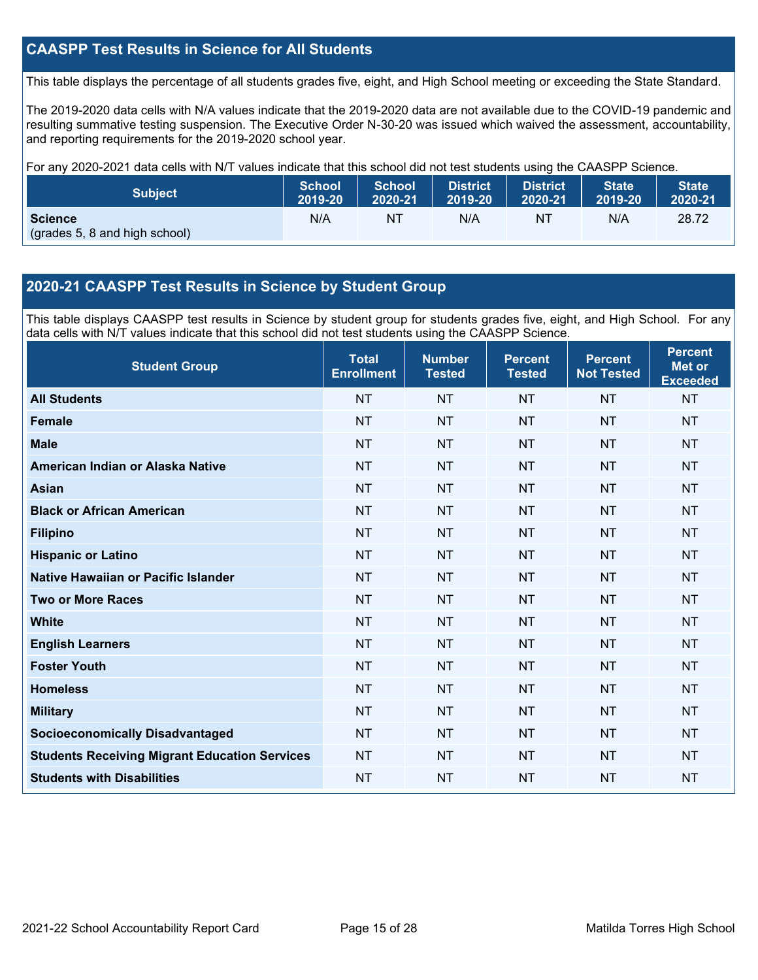### **CAASPP Test Results in Science for All Students**

This table displays the percentage of all students grades five, eight, and High School meeting or exceeding the State Standard.

The 2019-2020 data cells with N/A values indicate that the 2019-2020 data are not available due to the COVID-19 pandemic and resulting summative testing suspension. The Executive Order N-30-20 was issued which waived the assessment, accountability, and reporting requirements for the 2019-2020 school year.

For any 2020-2021 data cells with N/T values indicate that this school did not test students using the CAASPP Science.

| <b>Subject</b>                                  | <b>School</b> | <b>School</b> | <b>District</b> | District. | <b>State</b> | <b>State</b> |
|-------------------------------------------------|---------------|---------------|-----------------|-----------|--------------|--------------|
|                                                 | 2019-20       | 2020-21       | 2019-20         | 2020-21   | 2019-20      | 2020-21      |
| <b>Science</b><br>(grades 5, 8 and high school) | N/A           | NT            | N/A             | NT        | N/A          | 28.72        |

#### **2020-21 CAASPP Test Results in Science by Student Group**

This table displays CAASPP test results in Science by student group for students grades five, eight, and High School. For any data cells with N/T values indicate that this school did not test students using the CAASPP Science.

| <b>Student Group</b>                                 | <b>Total</b><br><b>Enrollment</b> | <b>Number</b><br><b>Tested</b> | <b>Percent</b><br><b>Tested</b> | <b>Percent</b><br><b>Not Tested</b> | <b>Percent</b><br><b>Met or</b><br><b>Exceeded</b> |
|------------------------------------------------------|-----------------------------------|--------------------------------|---------------------------------|-------------------------------------|----------------------------------------------------|
| <b>All Students</b>                                  | <b>NT</b>                         | <b>NT</b>                      | <b>NT</b>                       | <b>NT</b>                           | <b>NT</b>                                          |
| <b>Female</b>                                        | <b>NT</b>                         | <b>NT</b>                      | <b>NT</b>                       | <b>NT</b>                           | <b>NT</b>                                          |
| <b>Male</b>                                          | <b>NT</b>                         | <b>NT</b>                      | <b>NT</b>                       | <b>NT</b>                           | <b>NT</b>                                          |
| American Indian or Alaska Native                     | <b>NT</b>                         | <b>NT</b>                      | <b>NT</b>                       | <b>NT</b>                           | <b>NT</b>                                          |
| <b>Asian</b>                                         | <b>NT</b>                         | <b>NT</b>                      | <b>NT</b>                       | <b>NT</b>                           | <b>NT</b>                                          |
| <b>Black or African American</b>                     | <b>NT</b>                         | <b>NT</b>                      | <b>NT</b>                       | <b>NT</b>                           | <b>NT</b>                                          |
| <b>Filipino</b>                                      | <b>NT</b>                         | <b>NT</b>                      | <b>NT</b>                       | <b>NT</b>                           | <b>NT</b>                                          |
| <b>Hispanic or Latino</b>                            | <b>NT</b>                         | <b>NT</b>                      | <b>NT</b>                       | <b>NT</b>                           | <b>NT</b>                                          |
| Native Hawaiian or Pacific Islander                  | <b>NT</b>                         | <b>NT</b>                      | <b>NT</b>                       | <b>NT</b>                           | <b>NT</b>                                          |
| <b>Two or More Races</b>                             | <b>NT</b>                         | <b>NT</b>                      | <b>NT</b>                       | <b>NT</b>                           | <b>NT</b>                                          |
| <b>White</b>                                         | <b>NT</b>                         | <b>NT</b>                      | <b>NT</b>                       | <b>NT</b>                           | <b>NT</b>                                          |
| <b>English Learners</b>                              | <b>NT</b>                         | <b>NT</b>                      | <b>NT</b>                       | <b>NT</b>                           | <b>NT</b>                                          |
| <b>Foster Youth</b>                                  | <b>NT</b>                         | <b>NT</b>                      | <b>NT</b>                       | <b>NT</b>                           | <b>NT</b>                                          |
| <b>Homeless</b>                                      | <b>NT</b>                         | <b>NT</b>                      | <b>NT</b>                       | <b>NT</b>                           | <b>NT</b>                                          |
| <b>Military</b>                                      | <b>NT</b>                         | <b>NT</b>                      | <b>NT</b>                       | <b>NT</b>                           | <b>NT</b>                                          |
| <b>Socioeconomically Disadvantaged</b>               | <b>NT</b>                         | <b>NT</b>                      | <b>NT</b>                       | <b>NT</b>                           | <b>NT</b>                                          |
| <b>Students Receiving Migrant Education Services</b> | <b>NT</b>                         | <b>NT</b>                      | <b>NT</b>                       | <b>NT</b>                           | <b>NT</b>                                          |
| <b>Students with Disabilities</b>                    | <b>NT</b>                         | <b>NT</b>                      | <b>NT</b>                       | <b>NT</b>                           | <b>NT</b>                                          |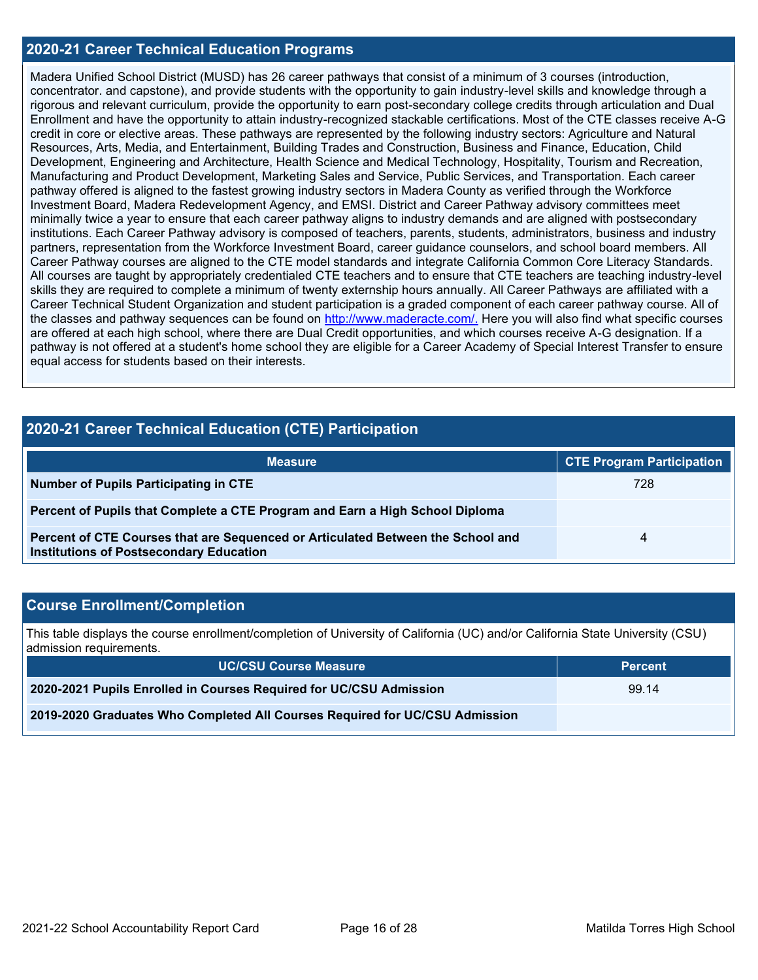#### **2020-21 Career Technical Education Programs**

Madera Unified School District (MUSD) has 26 career pathways that consist of a minimum of 3 courses (introduction, concentrator. and capstone), and provide students with the opportunity to gain industry-level skills and knowledge through a rigorous and relevant curriculum, provide the opportunity to earn post-secondary college credits through articulation and Dual Enrollment and have the opportunity to attain industry-recognized stackable certifications. Most of the CTE classes receive A-G credit in core or elective areas. These pathways are represented by the following industry sectors: Agriculture and Natural Resources, Arts, Media, and Entertainment, Building Trades and Construction, Business and Finance, Education, Child Development, Engineering and Architecture, Health Science and Medical Technology, Hospitality, Tourism and Recreation, Manufacturing and Product Development, Marketing Sales and Service, Public Services, and Transportation. Each career pathway offered is aligned to the fastest growing industry sectors in Madera County as verified through the Workforce Investment Board, Madera Redevelopment Agency, and EMSI. District and Career Pathway advisory committees meet minimally twice a year to ensure that each career pathway aligns to industry demands and are aligned with postsecondary institutions. Each Career Pathway advisory is composed of teachers, parents, students, administrators, business and industry partners, representation from the Workforce Investment Board, career guidance counselors, and school board members. All Career Pathway courses are aligned to the CTE model standards and integrate California Common Core Literacy Standards. All courses are taught by appropriately credentialed CTE teachers and to ensure that CTE teachers are teaching industry-level skills they are required to complete a minimum of twenty externship hours annually. All Career Pathways are affiliated with a Career Technical Student Organization and student participation is a graded component of each career pathway course. All of the classes and pathway sequences can be found on [http://www.maderacte.com/.](http://www.maderacte.com/) Here you will also find what specific courses are offered at each high school, where there are Dual Credit opportunities, and which courses receive A-G designation. If a pathway is not offered at a student's home school they are eligible for a Career Academy of Special Interest Transfer to ensure equal access for students based on their interests.

### **2020-21 Career Technical Education (CTE) Participation**

| <b>Measure</b>                                                                                                                    | <b>CTE Program Participation</b> |
|-----------------------------------------------------------------------------------------------------------------------------------|----------------------------------|
| Number of Pupils Participating in CTE                                                                                             | 728                              |
| Percent of Pupils that Complete a CTE Program and Earn a High School Diploma                                                      |                                  |
| Percent of CTE Courses that are Sequenced or Articulated Between the School and<br><b>Institutions of Postsecondary Education</b> | Δ                                |

### **Course Enrollment/Completion**

This table displays the course enrollment/completion of University of California (UC) and/or California State University (CSU) admission requirements.

| <b>UC/CSU Course Measure</b>                                                | <b>Percent</b> |
|-----------------------------------------------------------------------------|----------------|
| 2020-2021 Pupils Enrolled in Courses Required for UC/CSU Admission          | 99.14          |
| 2019-2020 Graduates Who Completed All Courses Required for UC/CSU Admission |                |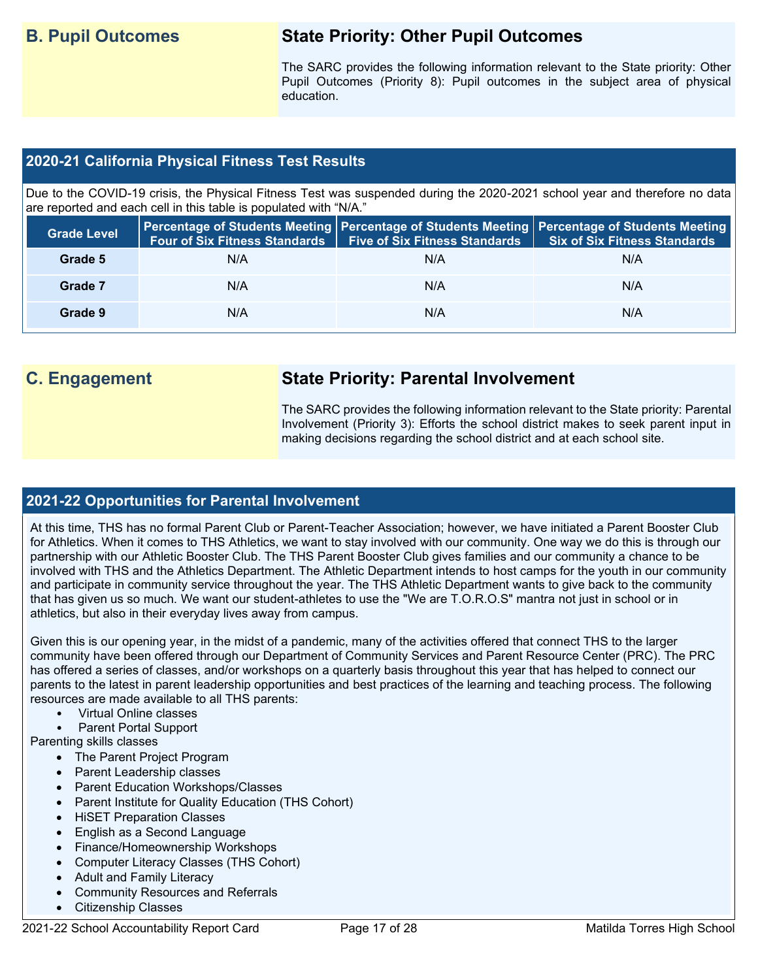## **B. Pupil Outcomes State Priority: Other Pupil Outcomes**

The SARC provides the following information relevant to the State priority: Other Pupil Outcomes (Priority 8): Pupil outcomes in the subject area of physical education.

#### **2020-21 California Physical Fitness Test Results**

Due to the COVID-19 crisis, the Physical Fitness Test was suspended during the 2020-2021 school year and therefore no data are reported and each cell in this table is populated with "N/A."

| <b>Grade Level</b> | <b>Four of Six Fitness Standards</b> | <b>Five of Six Fitness Standards</b> | Percentage of Students Meeting   Percentage of Students Meeting   Percentage of Students Meeting  <br><b>Six of Six Fitness Standards</b> |
|--------------------|--------------------------------------|--------------------------------------|-------------------------------------------------------------------------------------------------------------------------------------------|
| Grade 5            | N/A                                  | N/A                                  | N/A                                                                                                                                       |
| Grade 7            | N/A                                  | N/A                                  | N/A                                                                                                                                       |
| Grade 9            | N/A                                  | N/A                                  | N/A                                                                                                                                       |

## **C. Engagement State Priority: Parental Involvement**

The SARC provides the following information relevant to the State priority: Parental Involvement (Priority 3): Efforts the school district makes to seek parent input in making decisions regarding the school district and at each school site.

#### **2021-22 Opportunities for Parental Involvement**

At this time, THS has no formal Parent Club or Parent-Teacher Association; however, we have initiated a Parent Booster Club for Athletics. When it comes to THS Athletics, we want to stay involved with our community. One way we do this is through our partnership with our Athletic Booster Club. The THS Parent Booster Club gives families and our community a chance to be involved with THS and the Athletics Department. The Athletic Department intends to host camps for the youth in our community and participate in community service throughout the year. The THS Athletic Department wants to give back to the community that has given us so much. We want our student-athletes to use the "We are T.O.R.O.S" mantra not just in school or in athletics, but also in their everyday lives away from campus.

Given this is our opening year, in the midst of a pandemic, many of the activities offered that connect THS to the larger community have been offered through our Department of Community Services and Parent Resource Center (PRC). The PRC has offered a series of classes, and/or workshops on a quarterly basis throughout this year that has helped to connect our parents to the latest in parent leadership opportunities and best practices of the learning and teaching process. The following resources are made available to all THS parents:

- Virtual Online classes
- Parent Portal Support

Parenting skills classes

- The Parent Project Program
- Parent Leadership classes
- Parent Education Workshops/Classes
- Parent Institute for Quality Education (THS Cohort)
- HiSET Preparation Classes
- English as a Second Language
- Finance/Homeownership Workshops
- Computer Literacy Classes (THS Cohort)
- Adult and Family Literacy
- Community Resources and Referrals
- Citizenship Classes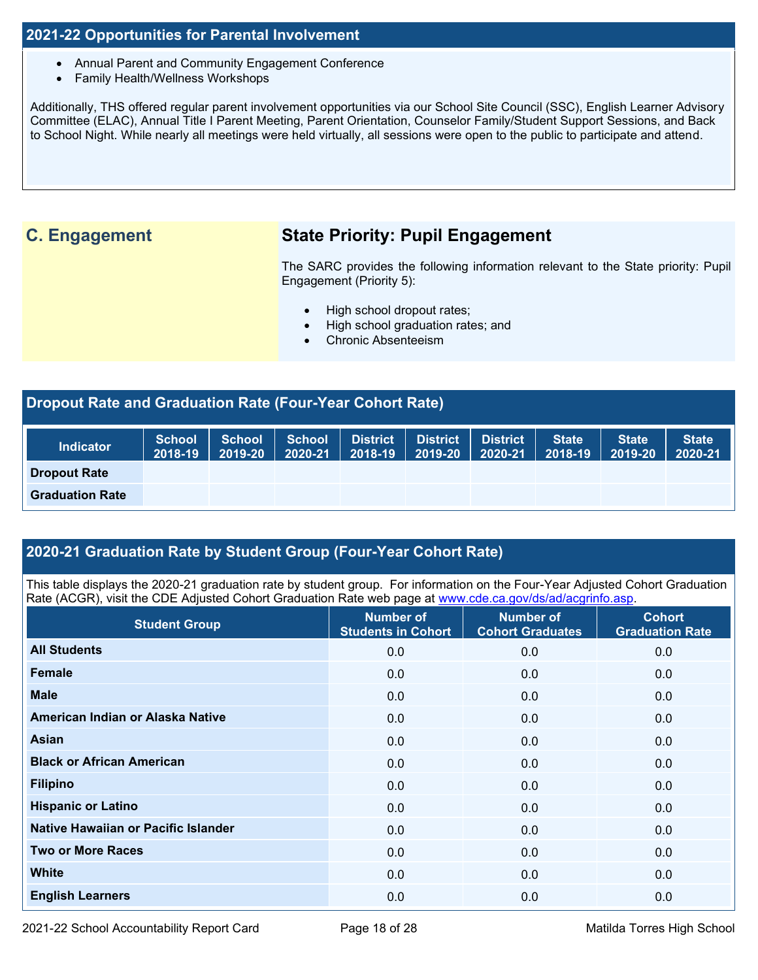#### **2021-22 Opportunities for Parental Involvement**

- Annual Parent and Community Engagement Conference
- Family Health/Wellness Workshops

Additionally, THS offered regular parent involvement opportunities via our School Site Council (SSC), English Learner Advisory Committee (ELAC), Annual Title I Parent Meeting, Parent Orientation, Counselor Family/Student Support Sessions, and Back to School Night. While nearly all meetings were held virtually, all sessions were open to the public to participate and attend.

## **C. Engagement State Priority: Pupil Engagement**

The SARC provides the following information relevant to the State priority: Pupil Engagement (Priority 5):

- High school dropout rates;
- High school graduation rates; and
- Chronic Absenteeism

| Dropout Rate and Graduation Rate (Four-Year Cohort Rate) |                          |                          |                   |                            |                            |                            |                         |                         |                         |  |
|----------------------------------------------------------|--------------------------|--------------------------|-------------------|----------------------------|----------------------------|----------------------------|-------------------------|-------------------------|-------------------------|--|
| <b>Indicator</b>                                         | <b>School</b><br>2018-19 | <b>School</b><br>2019-20 | School<br>2020-21 | <b>District</b><br>2018-19 | <b>District</b><br>2019-20 | <b>District</b><br>2020-21 | <b>State</b><br>2018-19 | <b>State</b><br>2019-20 | <b>State</b><br>2020-21 |  |
| <b>Dropout Rate</b>                                      |                          |                          |                   |                            |                            |                            |                         |                         |                         |  |
| <b>Graduation Rate</b>                                   |                          |                          |                   |                            |                            |                            |                         |                         |                         |  |

#### **2020-21 Graduation Rate by Student Group (Four-Year Cohort Rate)**

This table displays the 2020-21 graduation rate by student group. For information on the Four-Year Adjusted Cohort Graduation Rate (ACGR), visit the CDE Adjusted Cohort Graduation Rate web page at [www.cde.ca.gov/ds/ad/acgrinfo.asp.](http://www.cde.ca.gov/ds/ad/acgrinfo.asp)

| <b>Student Group</b>                | <b>Number of</b><br><b>Students in Cohort</b> | <b>Number of</b><br><b>Cohort Graduates</b> | <b>Cohort</b><br><b>Graduation Rate</b> |
|-------------------------------------|-----------------------------------------------|---------------------------------------------|-----------------------------------------|
| <b>All Students</b>                 | 0.0                                           | 0.0                                         | 0.0                                     |
| Female                              | 0.0                                           | 0.0                                         | 0.0                                     |
| <b>Male</b>                         | 0.0                                           | 0.0                                         | 0.0                                     |
| American Indian or Alaska Native    | 0.0                                           | 0.0                                         | 0.0                                     |
| Asian                               | 0.0                                           | 0.0                                         | 0.0                                     |
| <b>Black or African American</b>    | 0.0                                           | 0.0                                         | 0.0                                     |
| <b>Filipino</b>                     | 0.0                                           | 0.0                                         | 0.0                                     |
| <b>Hispanic or Latino</b>           | 0.0                                           | 0.0                                         | 0.0                                     |
| Native Hawaiian or Pacific Islander | 0.0                                           | 0.0                                         | 0.0                                     |
| <b>Two or More Races</b>            | 0.0                                           | 0.0                                         | 0.0                                     |
| <b>White</b>                        | 0.0                                           | 0.0                                         | 0.0                                     |
| <b>English Learners</b>             | 0.0                                           | 0.0                                         | 0.0                                     |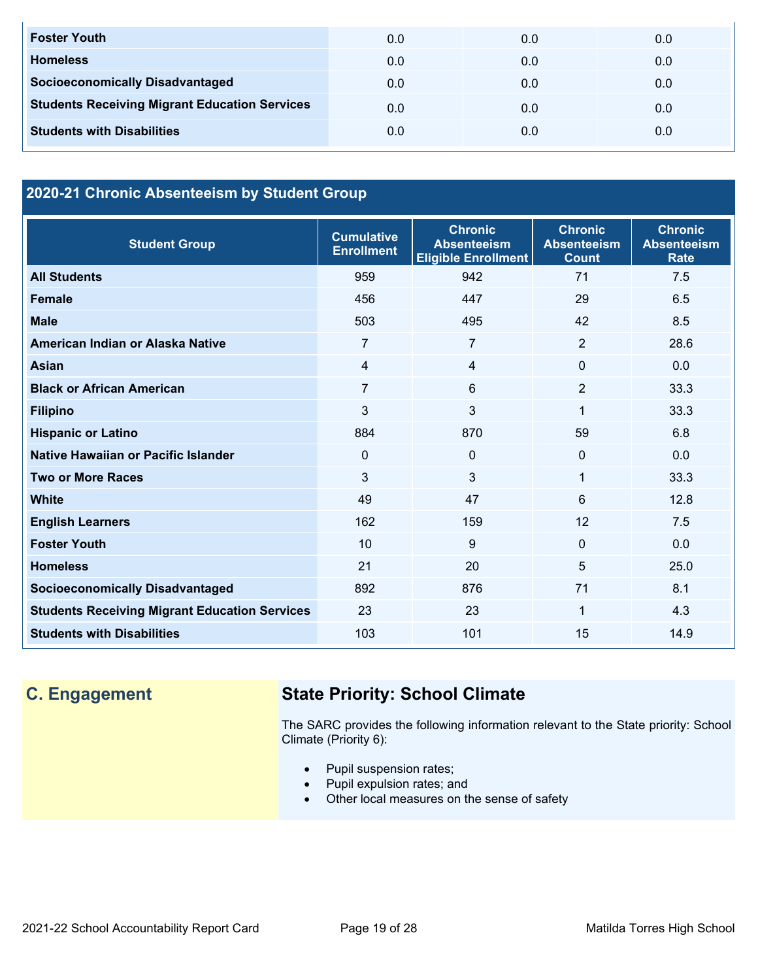| <b>Foster Youth</b>                                  | 0.0 | 0.0 | 0.0 |
|------------------------------------------------------|-----|-----|-----|
| <b>Homeless</b>                                      | 0.0 | 0.0 | 0.0 |
| <b>Socioeconomically Disadvantaged</b>               | 0.0 | 0.0 | 0.0 |
| <b>Students Receiving Migrant Education Services</b> | 0.0 | 0.0 | 0.0 |
| <b>Students with Disabilities</b>                    | 0.0 | 0.0 | 0.0 |

## **2020-21 Chronic Absenteeism by Student Group**

| <b>Student Group</b>                                 | <b>Cumulative</b><br><b>Enrollment</b> | <b>Chronic</b><br><b>Absenteeism</b><br><b>Eligible Enrollment</b> | <b>Chronic</b><br><b>Absenteeism</b><br><b>Count</b> | <b>Chronic</b><br><b>Absenteeism</b><br><b>Rate</b> |
|------------------------------------------------------|----------------------------------------|--------------------------------------------------------------------|------------------------------------------------------|-----------------------------------------------------|
| <b>All Students</b>                                  | 959                                    | 942                                                                | 71                                                   | 7.5                                                 |
| <b>Female</b>                                        | 456                                    | 447                                                                | 29                                                   | 6.5                                                 |
| <b>Male</b>                                          | 503                                    | 495                                                                | 42                                                   | 8.5                                                 |
| American Indian or Alaska Native                     | 7                                      | 7                                                                  | 2                                                    | 28.6                                                |
| <b>Asian</b>                                         | 4                                      | 4                                                                  | $\Omega$                                             | 0.0                                                 |
| <b>Black or African American</b>                     | $\overline{7}$                         | 6                                                                  | $\overline{2}$                                       | 33.3                                                |
| <b>Filipino</b>                                      | 3                                      | 3                                                                  | $\mathbf 1$                                          | 33.3                                                |
| <b>Hispanic or Latino</b>                            | 884                                    | 870                                                                | 59                                                   | 6.8                                                 |
| Native Hawaiian or Pacific Islander                  | $\Omega$                               | 0                                                                  | 0                                                    | 0.0                                                 |
| <b>Two or More Races</b>                             | 3                                      | 3                                                                  | 1                                                    | 33.3                                                |
| White                                                | 49                                     | 47                                                                 | 6                                                    | 12.8                                                |
| <b>English Learners</b>                              | 162                                    | 159                                                                | 12                                                   | 7.5                                                 |
| <b>Foster Youth</b>                                  | 10                                     | 9                                                                  | $\Omega$                                             | 0.0                                                 |
| <b>Homeless</b>                                      | 21                                     | 20                                                                 | 5                                                    | 25.0                                                |
| <b>Socioeconomically Disadvantaged</b>               | 892                                    | 876                                                                | 71                                                   | 8.1                                                 |
| <b>Students Receiving Migrant Education Services</b> | 23                                     | 23                                                                 | 1                                                    | 4.3                                                 |
| <b>Students with Disabilities</b>                    | 103                                    | 101                                                                | 15                                                   | 14.9                                                |

## **C. Engagement State Priority: School Climate**

The SARC provides the following information relevant to the State priority: School Climate (Priority 6):

- Pupil suspension rates;
- Pupil expulsion rates; and
- Other local measures on the sense of safety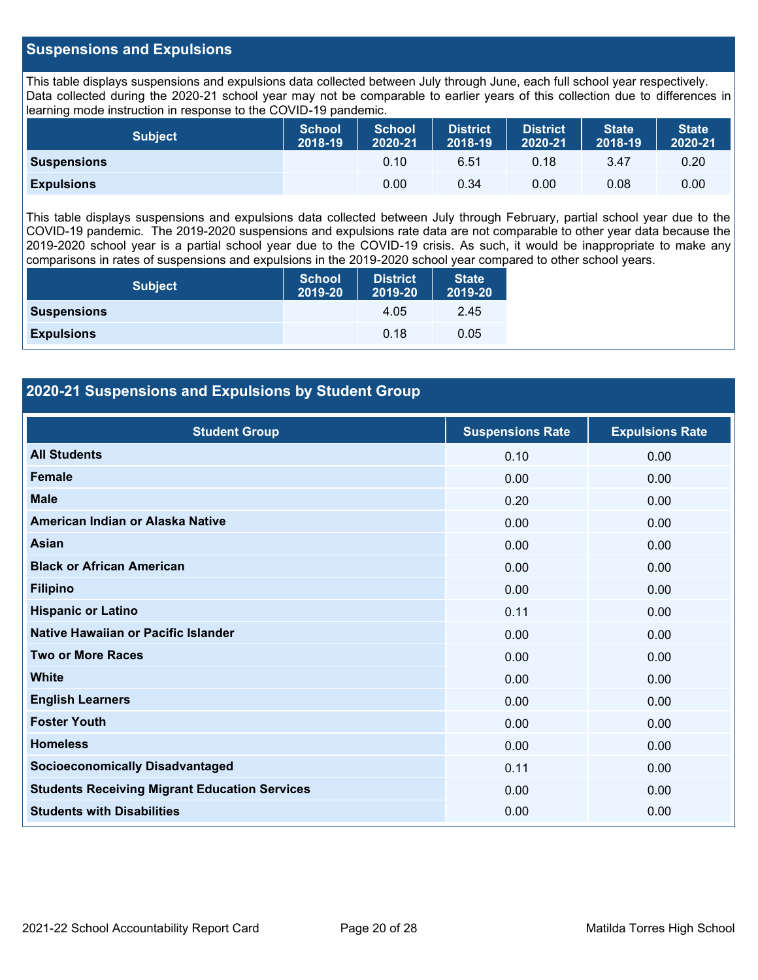#### **Suspensions and Expulsions**

This table displays suspensions and expulsions data collected between July through June, each full school year respectively. Data collected during the 2020-21 school year may not be comparable to earlier years of this collection due to differences in learning mode instruction in response to the COVID-19 pandemic.

| <b>Subject</b>     | <b>School</b><br>2018-19 | <b>School</b><br>2020-21 | <b>District</b><br>2018-19 | <b>District</b><br>2020-21 | <b>State</b><br>2018-19 | <b>State</b><br>2020-21 |
|--------------------|--------------------------|--------------------------|----------------------------|----------------------------|-------------------------|-------------------------|
| <b>Suspensions</b> |                          | 0.10                     | 6.51                       | 0.18                       | 3.47                    | 0.20                    |
| <b>Expulsions</b>  |                          | 0.00                     | 0.34                       | 0.00                       | 0.08                    | 0.00                    |

This table displays suspensions and expulsions data collected between July through February, partial school year due to the COVID-19 pandemic. The 2019-2020 suspensions and expulsions rate data are not comparable to other year data because the 2019-2020 school year is a partial school year due to the COVID-19 crisis. As such, it would be inappropriate to make any comparisons in rates of suspensions and expulsions in the 2019-2020 school year compared to other school years.

| <b>Subject</b>     | <b>School</b><br>2019-20 | <b>District</b><br>2019-20 | <b>State</b><br>2019-20 |
|--------------------|--------------------------|----------------------------|-------------------------|
| <b>Suspensions</b> |                          | 4.05                       | 2.45                    |
| <b>Expulsions</b>  |                          | 0.18                       | 0.05                    |

#### **2020-21 Suspensions and Expulsions by Student Group**

| <b>Student Group</b>                                 | <b>Suspensions Rate</b> | <b>Expulsions Rate</b> |
|------------------------------------------------------|-------------------------|------------------------|
| <b>All Students</b>                                  | 0.10                    | 0.00                   |
| <b>Female</b>                                        | 0.00                    | 0.00                   |
| <b>Male</b>                                          | 0.20                    | 0.00                   |
| American Indian or Alaska Native                     | 0.00                    | 0.00                   |
| <b>Asian</b>                                         | 0.00                    | 0.00                   |
| <b>Black or African American</b>                     | 0.00                    | 0.00                   |
| <b>Filipino</b>                                      | 0.00                    | 0.00                   |
| <b>Hispanic or Latino</b>                            | 0.11                    | 0.00                   |
| Native Hawaiian or Pacific Islander                  | 0.00                    | 0.00                   |
| <b>Two or More Races</b>                             | 0.00                    | 0.00                   |
| <b>White</b>                                         | 0.00                    | 0.00                   |
| <b>English Learners</b>                              | 0.00                    | 0.00                   |
| <b>Foster Youth</b>                                  | 0.00                    | 0.00                   |
| <b>Homeless</b>                                      | 0.00                    | 0.00                   |
| <b>Socioeconomically Disadvantaged</b>               | 0.11                    | 0.00                   |
| <b>Students Receiving Migrant Education Services</b> | 0.00                    | 0.00                   |
| <b>Students with Disabilities</b>                    | 0.00                    | 0.00                   |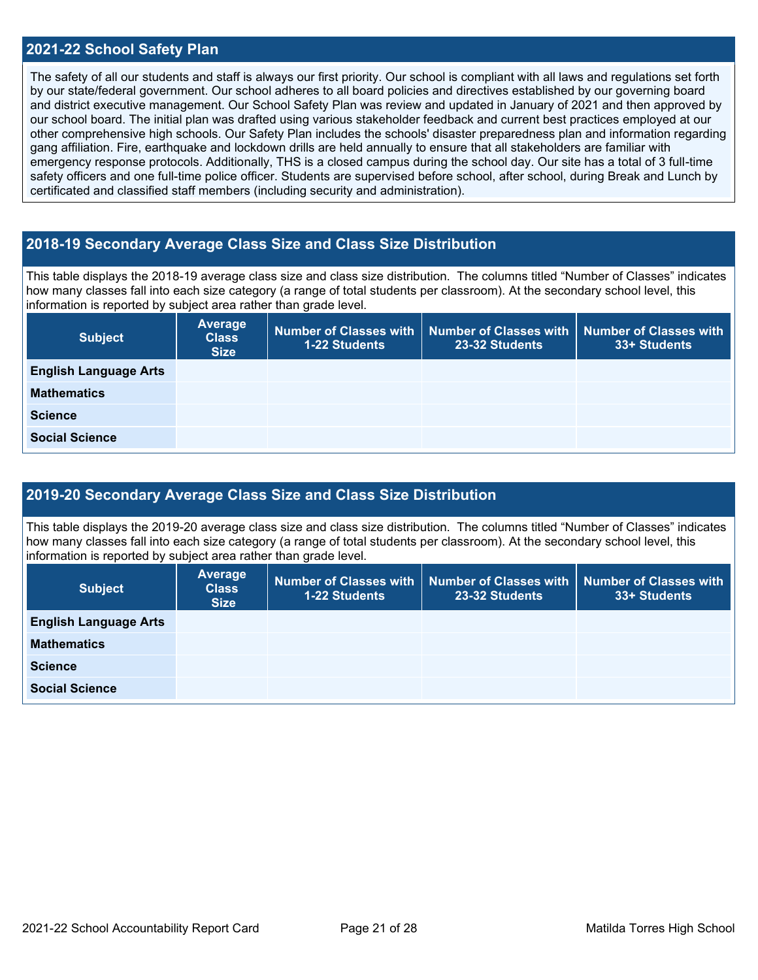#### **2021-22 School Safety Plan**

The safety of all our students and staff is always our first priority. Our school is compliant with all laws and regulations set forth by our state/federal government. Our school adheres to all board policies and directives established by our governing board and district executive management. Our School Safety Plan was review and updated in January of 2021 and then approved by our school board. The initial plan was drafted using various stakeholder feedback and current best practices employed at our other comprehensive high schools. Our Safety Plan includes the schools' disaster preparedness plan and information regarding gang affiliation. Fire, earthquake and lockdown drills are held annually to ensure that all stakeholders are familiar with emergency response protocols. Additionally, THS is a closed campus during the school day. Our site has a total of 3 full-time safety officers and one full-time police officer. Students are supervised before school, after school, during Break and Lunch by certificated and classified staff members (including security and administration).

#### **2018-19 Secondary Average Class Size and Class Size Distribution**

This table displays the 2018-19 average class size and class size distribution. The columns titled "Number of Classes" indicates how many classes fall into each size category (a range of total students per classroom). At the secondary school level, this information is reported by subject area rather than grade level.

| <b>Subject</b>               | Average<br><b>Class</b><br><b>Size</b> | 1-22 Students | Number of Classes with   Number of Classes with<br>23-32 Students | Number of Classes with<br>33+ Students |
|------------------------------|----------------------------------------|---------------|-------------------------------------------------------------------|----------------------------------------|
| <b>English Language Arts</b> |                                        |               |                                                                   |                                        |
| <b>Mathematics</b>           |                                        |               |                                                                   |                                        |
| <b>Science</b>               |                                        |               |                                                                   |                                        |
| <b>Social Science</b>        |                                        |               |                                                                   |                                        |

#### **2019-20 Secondary Average Class Size and Class Size Distribution**

This table displays the 2019-20 average class size and class size distribution. The columns titled "Number of Classes" indicates how many classes fall into each size category (a range of total students per classroom). At the secondary school level, this information is reported by subject area rather than grade level.

| <b>Subject</b>               | Average<br><b>Class</b><br><b>Size</b> | <b>1-22 Students</b> | Number of Classes with   Number of Classes with<br>23-32 Students | <b>Number of Classes with</b><br>33+ Students |
|------------------------------|----------------------------------------|----------------------|-------------------------------------------------------------------|-----------------------------------------------|
| <b>English Language Arts</b> |                                        |                      |                                                                   |                                               |
| <b>Mathematics</b>           |                                        |                      |                                                                   |                                               |
| <b>Science</b>               |                                        |                      |                                                                   |                                               |
| <b>Social Science</b>        |                                        |                      |                                                                   |                                               |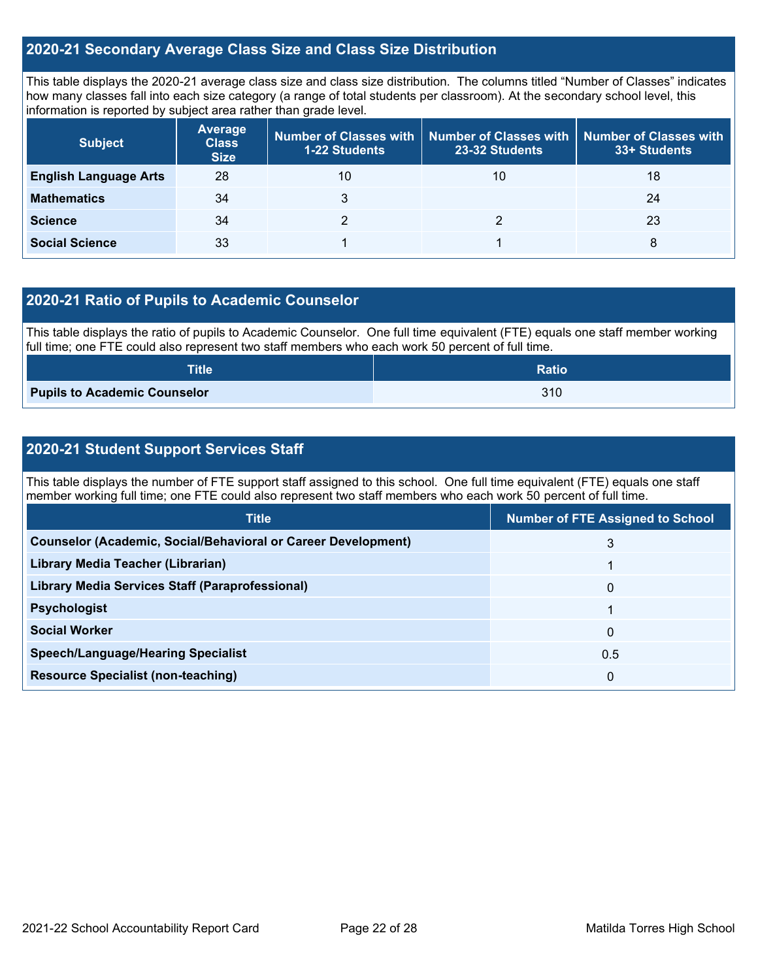#### **2020-21 Secondary Average Class Size and Class Size Distribution**

This table displays the 2020-21 average class size and class size distribution. The columns titled "Number of Classes" indicates how many classes fall into each size category (a range of total students per classroom). At the secondary school level, this information is reported by subject area rather than grade level.

| <b>Subject</b>               | <b>Average</b><br><b>Class</b><br><b>Size</b> | <b>1-22 Students</b> | Number of Classes with   Number of Classes with  <br>23-32 Students | Number of Classes with<br>33+ Students |
|------------------------------|-----------------------------------------------|----------------------|---------------------------------------------------------------------|----------------------------------------|
| <b>English Language Arts</b> | 28                                            | 10                   | 10                                                                  | 18                                     |
| <b>Mathematics</b>           | 34                                            |                      |                                                                     | 24                                     |
| <b>Science</b>               | 34                                            |                      |                                                                     | 23                                     |
| <b>Social Science</b>        | 33                                            |                      |                                                                     | 8                                      |

#### **2020-21 Ratio of Pupils to Academic Counselor**

This table displays the ratio of pupils to Academic Counselor. One full time equivalent (FTE) equals one staff member working full time; one FTE could also represent two staff members who each work 50 percent of full time.

| Title                               | <b>Ratio</b> |
|-------------------------------------|--------------|
| <b>Pupils to Academic Counselor</b> | 310          |

### **2020-21 Student Support Services Staff**

This table displays the number of FTE support staff assigned to this school. One full time equivalent (FTE) equals one staff member working full time; one FTE could also represent two staff members who each work 50 percent of full time.

| <b>Title</b>                                                         | <b>Number of FTE Assigned to School</b> |
|----------------------------------------------------------------------|-----------------------------------------|
| <b>Counselor (Academic, Social/Behavioral or Career Development)</b> | 3                                       |
| Library Media Teacher (Librarian)                                    |                                         |
| Library Media Services Staff (Paraprofessional)                      | $\mathbf{0}$                            |
| <b>Psychologist</b>                                                  |                                         |
| <b>Social Worker</b>                                                 | 0                                       |
| <b>Speech/Language/Hearing Specialist</b>                            | 0.5                                     |
| <b>Resource Specialist (non-teaching)</b>                            | 0                                       |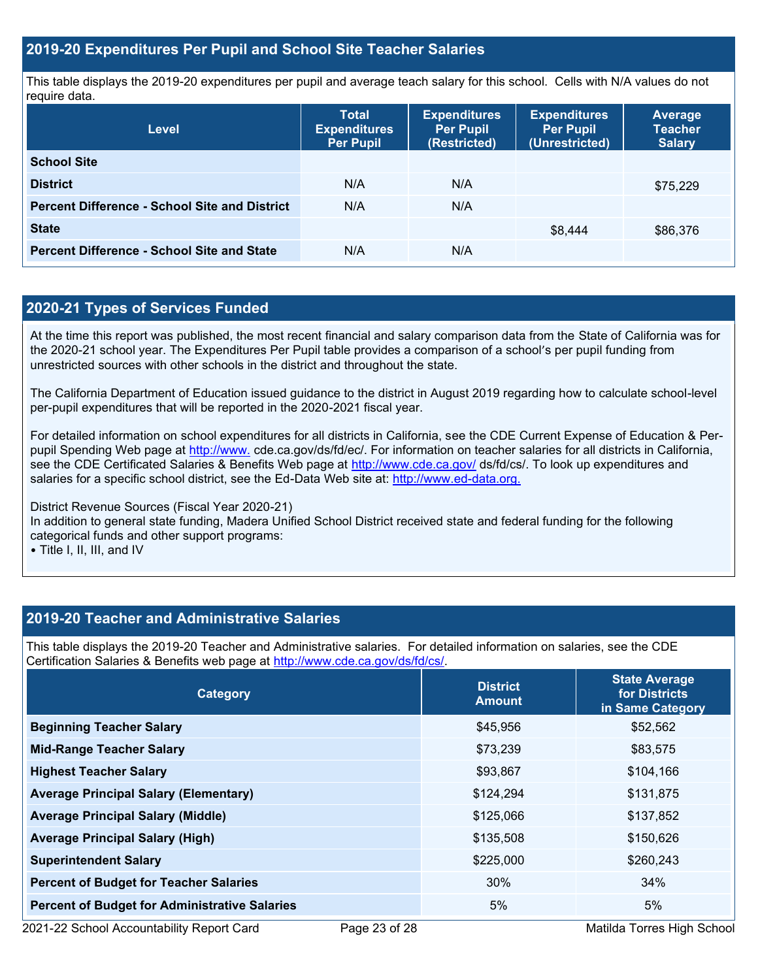#### **2019-20 Expenditures Per Pupil and School Site Teacher Salaries**

This table displays the 2019-20 expenditures per pupil and average teach salary for this school. Cells with N/A values do not require data.

| <b>Level</b>                                         | <b>Total</b><br><b>Expenditures</b><br><b>Per Pupil</b> | <b>Expenditures</b><br><b>Per Pupil</b><br>(Restricted) | <b>Expenditures</b><br><b>Per Pupil</b><br>(Unrestricted) | <b>Average</b><br><b>Teacher</b><br><b>Salary</b> |
|------------------------------------------------------|---------------------------------------------------------|---------------------------------------------------------|-----------------------------------------------------------|---------------------------------------------------|
| <b>School Site</b>                                   |                                                         |                                                         |                                                           |                                                   |
| <b>District</b>                                      | N/A                                                     | N/A                                                     |                                                           | \$75,229                                          |
| <b>Percent Difference - School Site and District</b> | N/A                                                     | N/A                                                     |                                                           |                                                   |
| <b>State</b>                                         |                                                         |                                                         | \$8,444                                                   | \$86,376                                          |
| <b>Percent Difference - School Site and State</b>    | N/A                                                     | N/A                                                     |                                                           |                                                   |

### **2020-21 Types of Services Funded**

At the time this report was published, the most recent financial and salary comparison data from the State of California was for the 2020-21 school year. The Expenditures Per Pupil table provides a comparison of a school's per pupil funding from unrestricted sources with other schools in the district and throughout the state.

The California Department of Education issued guidance to the district in August 2019 regarding how to calculate school-level per-pupil expenditures that will be reported in the 2020-2021 fiscal year.

For detailed information on school expenditures for all districts in California, see the CDE Current Expense of Education & Perpupil Spending Web page at [http://www.](http://www./) cde.ca.gov/ds/fd/ec/. For information on teacher salaries for all districts in California, see the CDE Certificated Salaries & Benefits Web page at<http://www.cde.ca.gov/> ds/fd/cs/. To look up expenditures and salaries for a specific school district, see the Ed-Data Web site at: [http://www.ed-data.org.](http://www.ed-data.org./)

District Revenue Sources (Fiscal Year 2020-21) In addition to general state funding, Madera Unified School District received state and federal funding for the following categorical funds and other support programs:

• Title I, II, III, and IV

#### **2019-20 Teacher and Administrative Salaries**

This table displays the 2019-20 Teacher and Administrative salaries. For detailed information on salaries, see the CDE Certification Salaries & Benefits web page at [http://www.cde.ca.gov/ds/fd/cs/.](http://www.cde.ca.gov/ds/fd/cs/)

| <b>Category</b>                                      | <b>District</b><br><b>Amount</b> | <b>State Average</b><br>for Districts<br>in Same Category |  |
|------------------------------------------------------|----------------------------------|-----------------------------------------------------------|--|
| <b>Beginning Teacher Salary</b>                      | \$45,956                         | \$52,562                                                  |  |
| <b>Mid-Range Teacher Salary</b>                      | \$73,239                         | \$83,575                                                  |  |
| <b>Highest Teacher Salary</b>                        | \$93,867                         | \$104,166                                                 |  |
| <b>Average Principal Salary (Elementary)</b>         | \$124,294                        | \$131,875                                                 |  |
| <b>Average Principal Salary (Middle)</b>             | \$125,066                        | \$137,852                                                 |  |
| <b>Average Principal Salary (High)</b>               | \$135,508                        | \$150,626                                                 |  |
| <b>Superintendent Salary</b>                         | \$225,000                        | \$260,243                                                 |  |
| <b>Percent of Budget for Teacher Salaries</b>        | 30%                              | 34%                                                       |  |
| <b>Percent of Budget for Administrative Salaries</b> | 5%                               | 5%                                                        |  |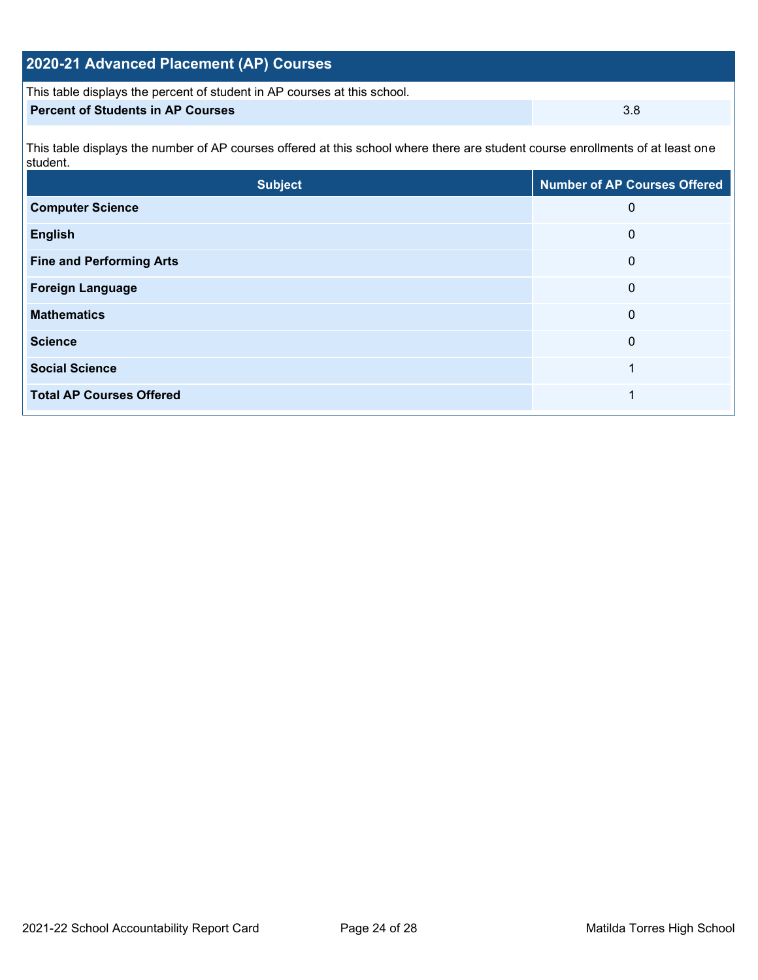| 2020-21 Advanced Placement (AP) Courses                                  |     |
|--------------------------------------------------------------------------|-----|
| This table displays the percent of student in AP courses at this school. |     |
| <b>Percent of Students in AP Courses</b>                                 | 3.8 |

This table displays the number of AP courses offered at this school where there are student course enrollments of at least one student.

| <b>Subject</b>                  | <b>Number of AP Courses Offered</b> |
|---------------------------------|-------------------------------------|
| <b>Computer Science</b>         | $\mathbf{0}$                        |
| <b>English</b>                  | 0                                   |
| <b>Fine and Performing Arts</b> | $\mathbf 0$                         |
| <b>Foreign Language</b>         | 0                                   |
| <b>Mathematics</b>              | $\mathbf 0$                         |
| <b>Science</b>                  | $\mathbf{0}$                        |
| <b>Social Science</b>           |                                     |
| <b>Total AP Courses Offered</b> |                                     |
|                                 |                                     |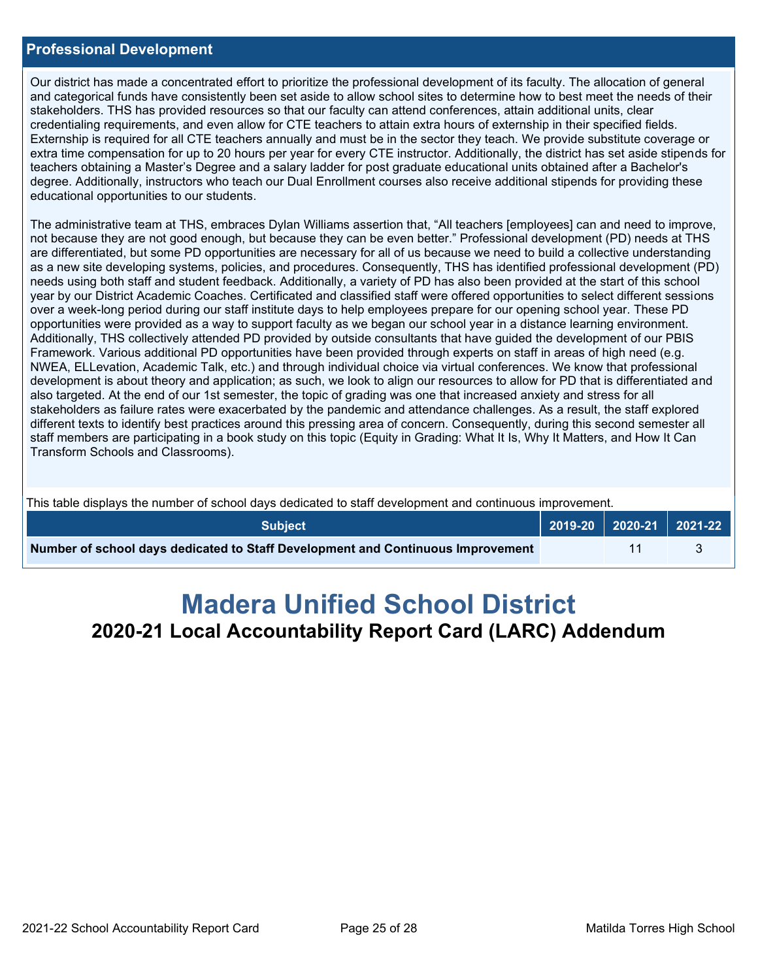#### **Professional Development**

Our district has made a concentrated effort to prioritize the professional development of its faculty. The allocation of general and categorical funds have consistently been set aside to allow school sites to determine how to best meet the needs of their stakeholders. THS has provided resources so that our faculty can attend conferences, attain additional units, clear credentialing requirements, and even allow for CTE teachers to attain extra hours of externship in their specified fields. Externship is required for all CTE teachers annually and must be in the sector they teach. We provide substitute coverage or extra time compensation for up to 20 hours per year for every CTE instructor. Additionally, the district has set aside stipends for teachers obtaining a Master's Degree and a salary ladder for post graduate educational units obtained after a Bachelor's degree. Additionally, instructors who teach our Dual Enrollment courses also receive additional stipends for providing these educational opportunities to our students.

The administrative team at THS, embraces Dylan Williams assertion that, "All teachers [employees] can and need to improve, not because they are not good enough, but because they can be even better." Professional development (PD) needs at THS are differentiated, but some PD opportunities are necessary for all of us because we need to build a collective understanding as a new site developing systems, policies, and procedures. Consequently, THS has identified professional development (PD) needs using both staff and student feedback. Additionally, a variety of PD has also been provided at the start of this school year by our District Academic Coaches. Certificated and classified staff were offered opportunities to select different sessions over a week-long period during our staff institute days to help employees prepare for our opening school year. These PD opportunities were provided as a way to support faculty as we began our school year in a distance learning environment. Additionally, THS collectively attended PD provided by outside consultants that have guided the development of our PBIS Framework. Various additional PD opportunities have been provided through experts on staff in areas of high need (e.g. NWEA, ELLevation, Academic Talk, etc.) and through individual choice via virtual conferences. We know that professional development is about theory and application; as such, we look to align our resources to allow for PD that is differentiated and also targeted. At the end of our 1st semester, the topic of grading was one that increased anxiety and stress for all stakeholders as failure rates were exacerbated by the pandemic and attendance challenges. As a result, the staff explored different texts to identify best practices around this pressing area of concern. Consequently, during this second semester all staff members are participating in a book study on this topic (Equity in Grading: What It Is, Why It Matters, and How It Can Transform Schools and Classrooms).

This table displays the number of school days dedicated to staff development and continuous improvement.

| <b>Subject</b>                                                                  |  | $\vert$ 2019-20 2020-21 2021-22 |
|---------------------------------------------------------------------------------|--|---------------------------------|
| Number of school days dedicated to Staff Development and Continuous Improvement |  |                                 |

# **Madera Unified School District 2020-21 Local Accountability Report Card (LARC) Addendum**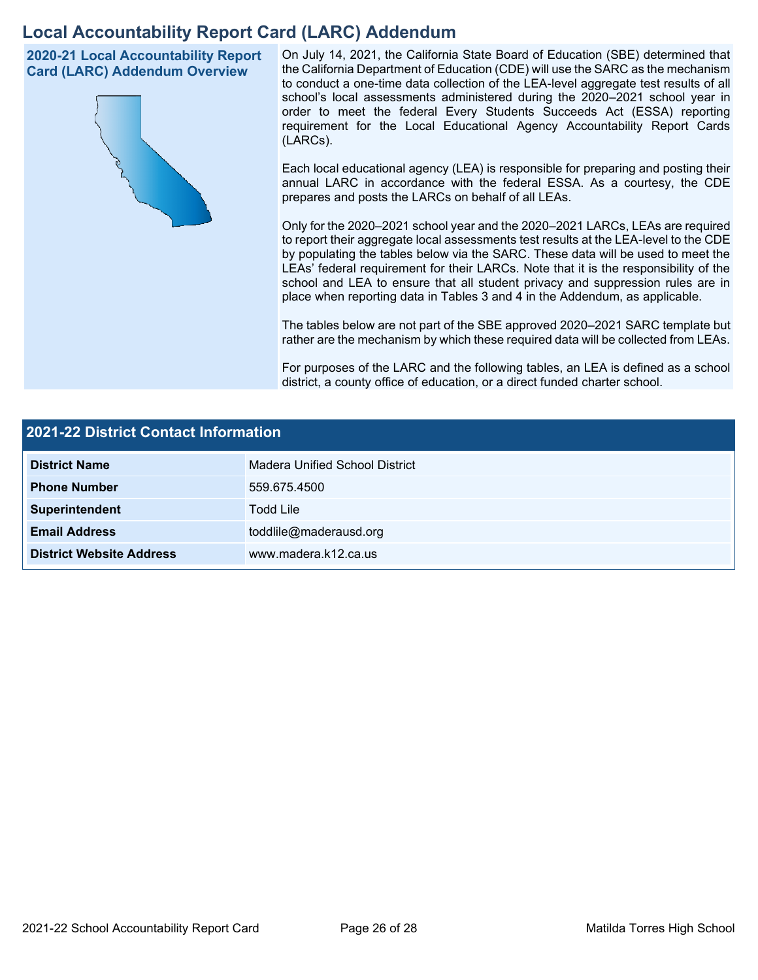## **Local Accountability Report Card (LARC) Addendum**

**2020-21 Local Accountability Report Card (LARC) Addendum Overview**



On July 14, 2021, the California State Board of Education (SBE) determined that the California Department of Education (CDE) will use the SARC as the mechanism to conduct a one-time data collection of the LEA-level aggregate test results of all school's local assessments administered during the 2020–2021 school year in order to meet the federal Every Students Succeeds Act (ESSA) reporting requirement for the Local Educational Agency Accountability Report Cards (LARCs).

Each local educational agency (LEA) is responsible for preparing and posting their annual LARC in accordance with the federal ESSA. As a courtesy, the CDE prepares and posts the LARCs on behalf of all LEAs.

Only for the 2020–2021 school year and the 2020–2021 LARCs, LEAs are required to report their aggregate local assessments test results at the LEA-level to the CDE by populating the tables below via the SARC. These data will be used to meet the LEAs' federal requirement for their LARCs. Note that it is the responsibility of the school and LEA to ensure that all student privacy and suppression rules are in place when reporting data in Tables 3 and 4 in the Addendum, as applicable.

The tables below are not part of the SBE approved 2020–2021 SARC template but rather are the mechanism by which these required data will be collected from LEAs.

For purposes of the LARC and the following tables, an LEA is defined as a school district, a county office of education, or a direct funded charter school.

| <b>2021-22 District Contact Information</b> |                                |  |  |
|---------------------------------------------|--------------------------------|--|--|
| <b>District Name</b>                        | Madera Unified School District |  |  |
| <b>Phone Number</b>                         | 559.675.4500                   |  |  |
| Superintendent                              | <b>Todd Lile</b>               |  |  |
| <b>Email Address</b>                        | toddlile@maderausd.org         |  |  |
| <b>District Website Address</b>             | www.madera.k12.ca.us           |  |  |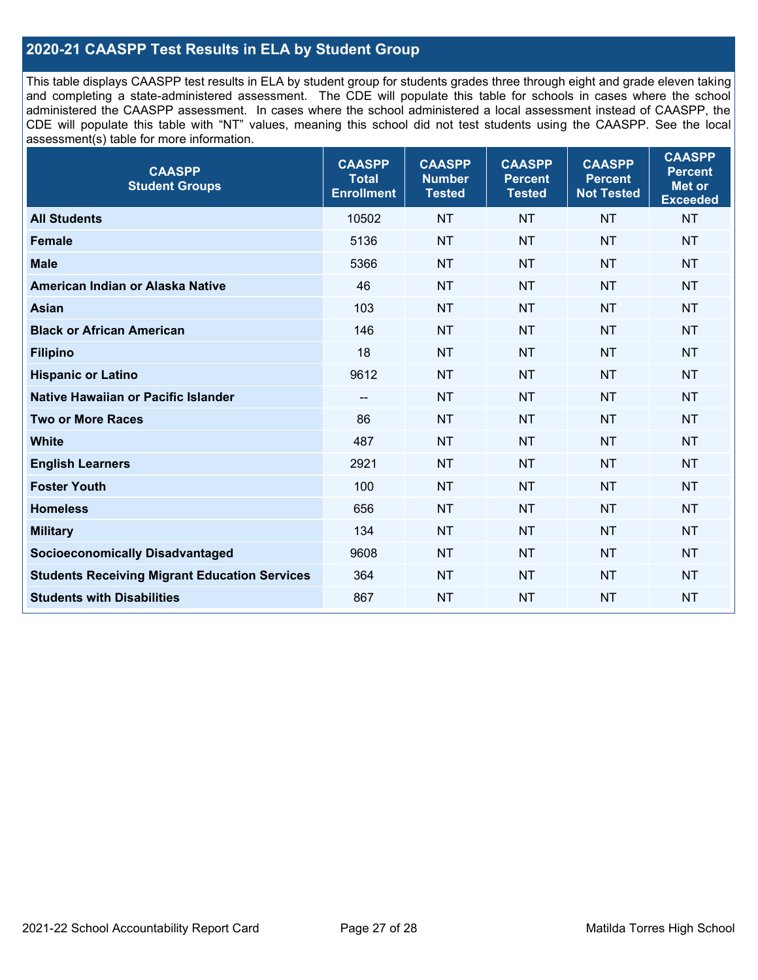### **2020-21 CAASPP Test Results in ELA by Student Group**

This table displays CAASPP test results in ELA by student group for students grades three through eight and grade eleven taking and completing a state-administered assessment. The CDE will populate this table for schools in cases where the school administered the CAASPP assessment. In cases where the school administered a local assessment instead of CAASPP, the CDE will populate this table with "NT" values, meaning this school did not test students using the CAASPP. See the local assessment(s) table for more information.

| <b>CAASPP</b><br><b>Total</b><br><b>Enrollment</b> | <b>CAASPP</b><br><b>Number</b><br><b>Tested</b> | <b>CAASPP</b><br><b>Percent</b><br><b>Tested</b> | <b>CAASPP</b><br><b>Percent</b><br><b>Not Tested</b> | <b>CAASPP</b><br><b>Percent</b><br>Met or<br><b>Exceeded</b> |
|----------------------------------------------------|-------------------------------------------------|--------------------------------------------------|------------------------------------------------------|--------------------------------------------------------------|
| 10502                                              | <b>NT</b>                                       | <b>NT</b>                                        | <b>NT</b>                                            | <b>NT</b>                                                    |
| 5136                                               | <b>NT</b>                                       | <b>NT</b>                                        | <b>NT</b>                                            | <b>NT</b>                                                    |
| 5366                                               | <b>NT</b>                                       | <b>NT</b>                                        | <b>NT</b>                                            | <b>NT</b>                                                    |
| 46                                                 | <b>NT</b>                                       | <b>NT</b>                                        | <b>NT</b>                                            | <b>NT</b>                                                    |
| 103                                                | <b>NT</b>                                       | <b>NT</b>                                        | <b>NT</b>                                            | <b>NT</b>                                                    |
| 146                                                | <b>NT</b>                                       | <b>NT</b>                                        | <b>NT</b>                                            | <b>NT</b>                                                    |
| 18                                                 | <b>NT</b>                                       | <b>NT</b>                                        | <b>NT</b>                                            | <b>NT</b>                                                    |
| 9612                                               | <b>NT</b>                                       | <b>NT</b>                                        | <b>NT</b>                                            | <b>NT</b>                                                    |
| --                                                 | <b>NT</b>                                       | <b>NT</b>                                        | <b>NT</b>                                            | <b>NT</b>                                                    |
| 86                                                 | <b>NT</b>                                       | <b>NT</b>                                        | <b>NT</b>                                            | <b>NT</b>                                                    |
| 487                                                | <b>NT</b>                                       | <b>NT</b>                                        | <b>NT</b>                                            | <b>NT</b>                                                    |
| 2921                                               | <b>NT</b>                                       | <b>NT</b>                                        | <b>NT</b>                                            | <b>NT</b>                                                    |
| 100                                                | <b>NT</b>                                       | <b>NT</b>                                        | <b>NT</b>                                            | <b>NT</b>                                                    |
| 656                                                | <b>NT</b>                                       | <b>NT</b>                                        | <b>NT</b>                                            | <b>NT</b>                                                    |
| 134                                                | <b>NT</b>                                       | <b>NT</b>                                        | <b>NT</b>                                            | <b>NT</b>                                                    |
| 9608                                               | <b>NT</b>                                       | <b>NT</b>                                        | <b>NT</b>                                            | <b>NT</b>                                                    |
| 364                                                | <b>NT</b>                                       | <b>NT</b>                                        | <b>NT</b>                                            | <b>NT</b>                                                    |
| 867                                                | <b>NT</b>                                       | <b>NT</b>                                        | <b>NT</b>                                            | <b>NT</b>                                                    |
|                                                    |                                                 |                                                  |                                                      |                                                              |